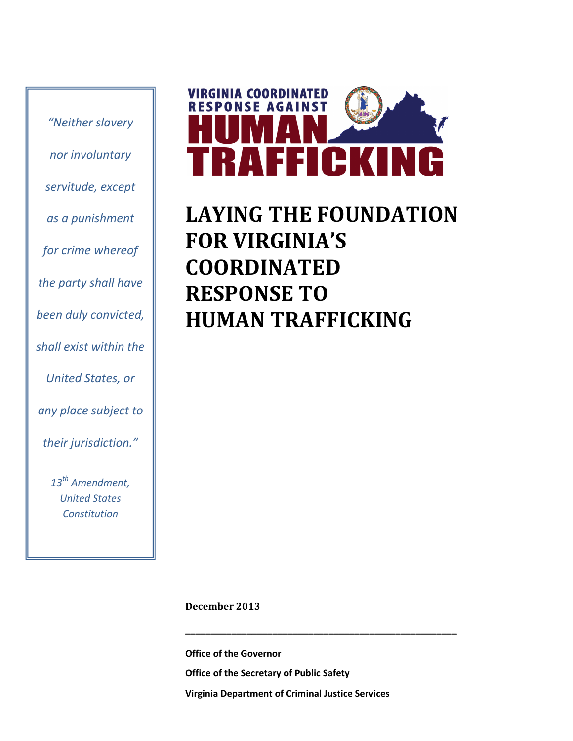*"Neither slavery nor involuntary servitude, except as a punishment for crime whereof the party shall have been duly convicted, shall exist within the United States, or any place subject to their jurisdiction."*

> *13th Amendment, United States Constitution*



### **LAYING THE FOUNDATION FOR VIRGINIA'S COORDINATED RESPONSE TO HUMAN TRAFFICKING**

**December 2013**

**Office of the Governor Office of the Secretary of Public Safety Virginia Department of Criminal Justice Services**

**\_\_\_\_\_\_\_\_\_\_\_\_\_\_\_\_\_\_\_\_\_\_\_\_\_\_\_\_\_\_\_\_\_\_\_\_\_\_\_\_\_\_\_\_\_\_\_\_\_\_\_\_\_**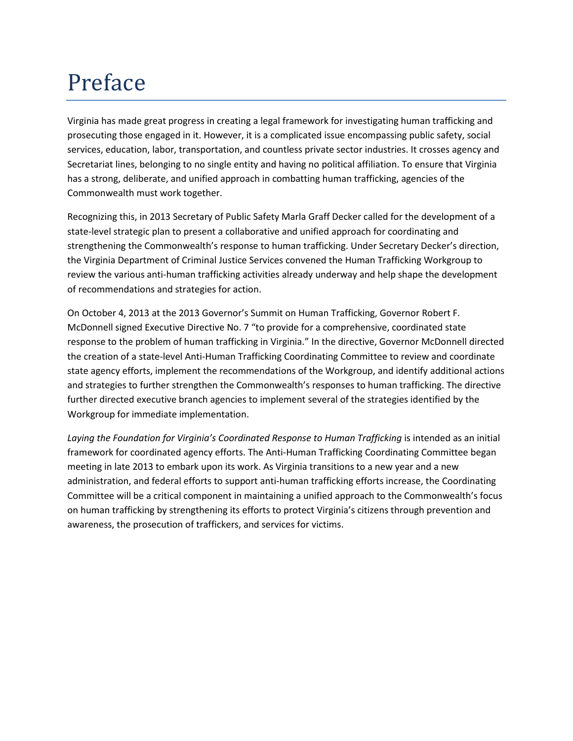## Preface

Virginia has made great progress in creating a legal framework for investigating human trafficking and prosecuting those engaged in it. However, it is a complicated issue encompassing public safety, social services, education, labor, transportation, and countless private sector industries. It crosses agency and Secretariat lines, belonging to no single entity and having no political affiliation. To ensure that Virginia has a strong, deliberate, and unified approach in combatting human trafficking, agencies of the Commonwealth must work together.

Recognizing this, in 2013 Secretary of Public Safety Marla Graff Decker called for the development of a state-level strategic plan to present a collaborative and unified approach for coordinating and strengthening the Commonwealth's response to human trafficking. Under Secretary Decker's direction, the Virginia Department of Criminal Justice Services convened the Human Trafficking Workgroup to review the various anti-human trafficking activities already underway and help shape the development of recommendations and strategies for action.

On October 4, 2013 at the 2013 Governor's Summit on Human Trafficking, Governor Robert F. McDonnell signed Executive Directive No. 7 "to provide for a comprehensive, coordinated state response to the problem of human trafficking in Virginia." In the directive, Governor McDonnell directed the creation of a state-level Anti-Human Trafficking Coordinating Committee to review and coordinate state agency efforts, implement the recommendations of the Workgroup, and identify additional actions and strategies to further strengthen the Commonwealth's responses to human trafficking. The directive further directed executive branch agencies to implement several of the strategies identified by the Workgroup for immediate implementation.

*Laying the Foundation for Virginia's Coordinated Response to Human Trafficking* is intended as an initial framework for coordinated agency efforts. The Anti-Human Trafficking Coordinating Committee began meeting in late 2013 to embark upon its work. As Virginia transitions to a new year and a new administration, and federal efforts to support anti-human trafficking efforts increase, the Coordinating Committee will be a critical component in maintaining a unified approach to the Commonwealth's focus on human trafficking by strengthening its efforts to protect Virginia's citizens through prevention and awareness, the prosecution of traffickers, and services for victims.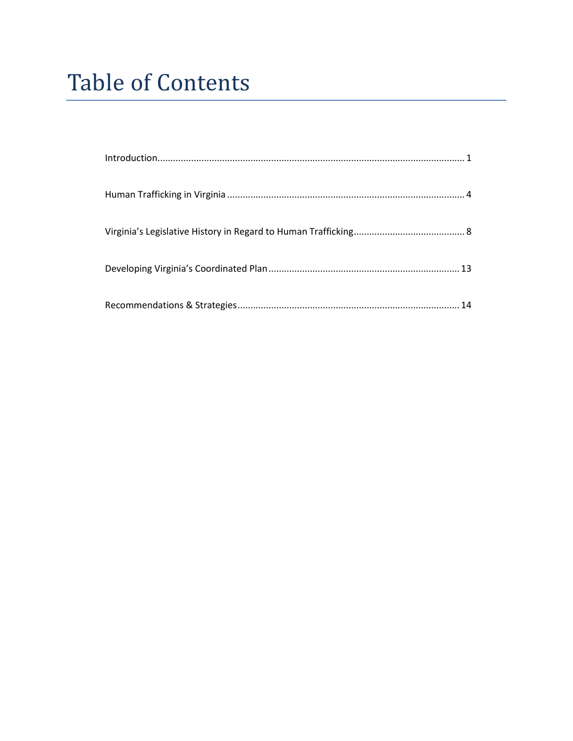## **Table of Contents**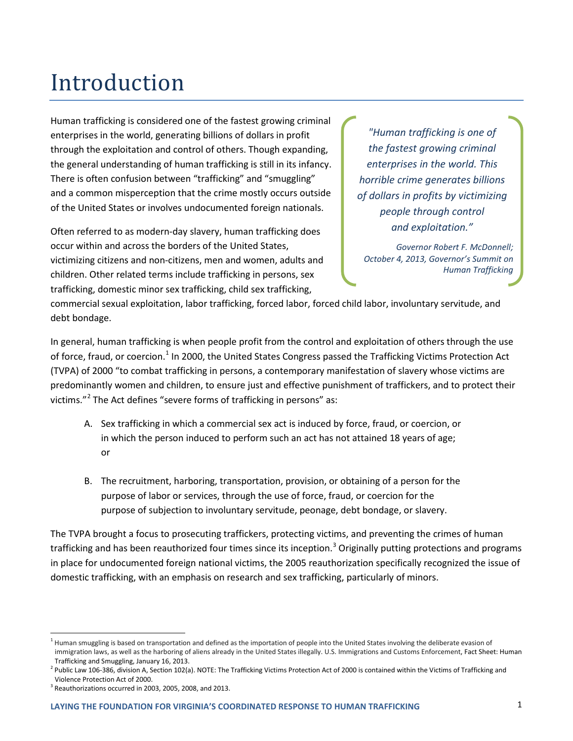## Introduction

Human trafficking is considered one of the fastest growing criminal enterprises in the world, generating billions of dollars in profit through the exploitation and control of others. Though expanding, the general understanding of human trafficking is still in its infancy. There is often confusion between "trafficking" and "smuggling" and a common misperception that the crime mostly occurs outside of the United States or involves undocumented foreign nationals.

Often referred to as modern-day slavery, human trafficking does occur within and across the borders of the United States, victimizing citizens and non-citizens, men and women, adults and children. Other related terms include trafficking in persons, sex trafficking, domestic minor sex trafficking, child sex trafficking,

*"Human trafficking is one of the fastest growing criminal enterprises in the world. This horrible crime generates billions of dollars in profits by victimizing people through control and exploitation."* 

*Governor Robert F. McDonnell; October 4, 2013, Governor's Summit on Human Trafficking*

commercial sexual exploitation, labor trafficking, forced labor, forced child labor, involuntary servitude, and debt bondage.

In general, human trafficking is when people profit from the control and exploitation of others through the use of force, fraud, or coercion.<sup>[1](#page-3-0)</sup> In 2000, the United States Congress passed the Trafficking Victims Protection Act (TVPA) of 2000 "to combat trafficking in persons, a contemporary manifestation of slavery whose victims are predominantly women and children, to ensure just and effective punishment of traffickers, and to protect their victims."[2](#page-3-1) The Act defines "severe forms of trafficking in persons" as:

- A. Sex trafficking in which a commercial sex act is induced by force, fraud, or coercion, or in which the person induced to perform such an act has not attained 18 years of age; or
- B. The recruitment, harboring, transportation, provision, or obtaining of a person for the purpose of labor or services, through the use of force, fraud, or coercion for the purpose of subjection to involuntary servitude, peonage, debt bondage, or slavery.

The TVPA brought a focus to prosecuting traffickers, protecting victims, and preventing the crimes of human trafficking and has been reauthorized four times since its inception.<sup>[3](#page-3-2)</sup> Originally putting protections and programs in place for undocumented foreign national victims, the 2005 reauthorization specifically recognized the issue of domestic trafficking, with an emphasis on research and sex trafficking, particularly of minors.

<span id="page-3-0"></span><sup>&</sup>lt;sup>1</sup> Human smuggling is based on transportation and defined as the importation of people into the United States involving the deliberate evasion of immigration laws, as well as the harboring of aliens already in the United States illegally. U.S. Immigrations and Customs Enforcement, Fact Sheet: Human Trafficking and Smuggling, January 16, 2013.

<span id="page-3-1"></span><sup>&</sup>lt;sup>2</sup> Public Law 106-386, division A, Section 102(a). NOTE: The Trafficking Victims Protection Act of 2000 is contained within the Victims of Trafficking and Violence Protection Act of 2000.

<span id="page-3-2"></span> $3$  Reauthorizations occurred in 2003, 2005, 2008, and 2013.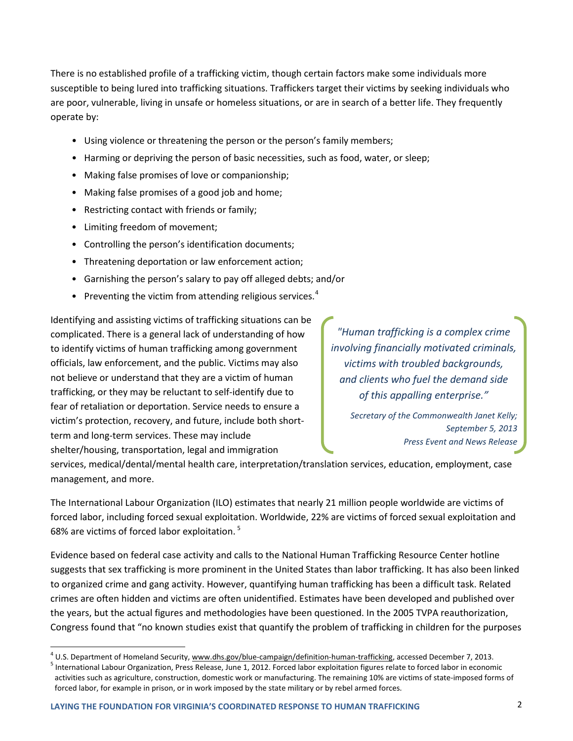There is no established profile of a trafficking victim, though certain factors make some individuals more susceptible to being lured into trafficking situations. Traffickers target their victims by seeking individuals who are poor, vulnerable, living in unsafe or homeless situations, or are in search of a better life. They frequently operate by:

- Using violence or threatening the person or the person's family members;
- Harming or depriving the person of basic necessities, such as food, water, or sleep;
- Making false promises of love or companionship;
- Making false promises of a good job and home;
- Restricting contact with friends or family;
- Limiting freedom of movement;
- Controlling the person's identification documents;
- Threatening deportation or law enforcement action;
- Garnishing the person's salary to pay off alleged debts; and/or
- Preventing the victim from attending religious services. $4$

Identifying and assisting victims of trafficking situations can be complicated. There is a general lack of understanding of how to identify victims of human trafficking among government officials, law enforcement, and the public. Victims may also not believe or understand that they are a victim of human trafficking, or they may be reluctant to self-identify due to fear of retaliation or deportation. Service needs to ensure a victim's protection, recovery, and future, include both shortterm and long-term services. These may include shelter/housing, transportation, legal and immigration

*"Human trafficking is a complex crime involving financially motivated criminals, victims with troubled backgrounds, and clients who fuel the demand side of this appalling enterprise."* 

> *Secretary of the Commonwealth Janet Kelly; September 5, 2013 Press Event and News Release*

services, medical/dental/mental health care, interpretation/translation services, education, employment, case management, and more.

The International Labour Organization (ILO) estimates that nearly 21 million people worldwide are victims of forced labor, including forced sexual exploitation. Worldwide, 22% are victims of forced sexual exploitation and 68% are victims of forced labor exploitation.<sup>[5](#page-4-1)</sup>

Evidence based on federal case activity and calls to the National Human Trafficking Resource Center hotline suggests that sex trafficking is more prominent in the United States than labor trafficking. It has also been linked to organized crime and gang activity. However, quantifying human trafficking has been a difficult task. Related crimes are often hidden and victims are often unidentified. Estimates have been developed and published over the years, but the actual figures and methodologies have been questioned. In the 2005 TVPA reauthorization, Congress found that "no known studies exist that quantify the problem of trafficking in children for the purposes

<span id="page-4-0"></span><sup>&</sup>lt;sup>4</sup> U.S. Department of Homeland Security[, www.dhs.gov/blue-campaign/definition-human-trafficking,](https://www.dhs.gov/blue-campaign/definition-human-trafficking) accessed December 7, 2013.<br><sup>5</sup> International Labour Organization, Press Release, June 1, 2012. Forced labor exploitation fig

<span id="page-4-1"></span>activities such as agriculture, construction, domestic work or manufacturing. The remaining 10% are victims of state-imposed forms of forced labor, for example in prison, or in work imposed by the state military or by rebel armed forces.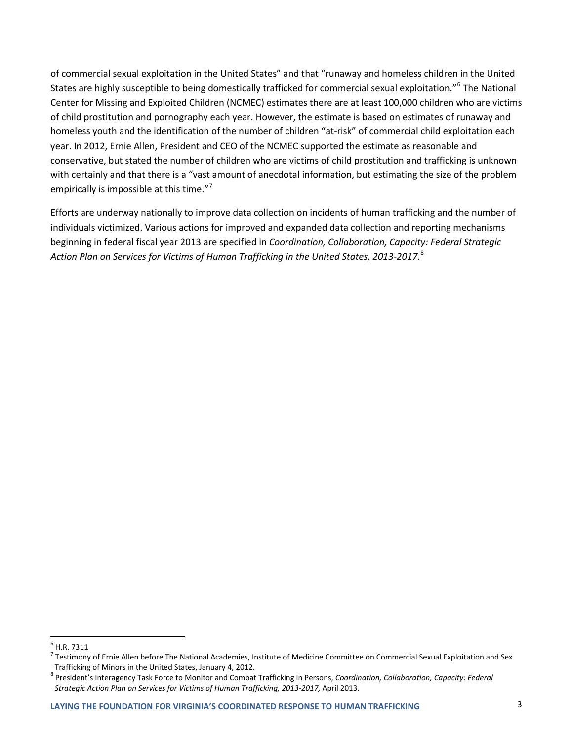of commercial sexual exploitation in the United States" and that "runaway and homeless children in the United States are highly susceptible to being domestically trafficked for commercial sexual exploitation."[6](#page-5-0) The National Center for Missing and Exploited Children (NCMEC) estimates there are at least 100,000 children who are victims of child prostitution and pornography each year. However, the estimate is based on estimates of runaway and homeless youth and the identification of the number of children "at-risk" of commercial child exploitation each year. In 2012, Ernie Allen, President and CEO of the NCMEC supported the estimate as reasonable and conservative, but stated the number of children who are victims of child prostitution and trafficking is unknown with certainly and that there is a "vast amount of anecdotal information, but estimating the size of the problem empirically is impossible at this time."<sup>[7](#page-5-1)</sup>

Efforts are underway nationally to improve data collection on incidents of human trafficking and the number of individuals victimized. Various actions for improved and expanded data collection and reporting mechanisms beginning in federal fiscal year 2013 are specified in *Coordination, Collaboration, Capacity: Federal Strategic Action Plan on Services for Victims of Human Trafficking in the United States, 2013-2017*. [8](#page-5-2)

<span id="page-5-0"></span> $<sup>6</sup>$  H.R. 7311</sup>

<span id="page-5-1"></span> $^7$  Testimony of Ernie Allen before The National Academies, Institute of Medicine Committee on Commercial Sexual Exploitation and Sex Trafficking of Minors in the United States, January 4, 2012.

<span id="page-5-2"></span><sup>8</sup> President's Interagency Task Force to Monitor and Combat Trafficking in Persons, *Coordination, Collaboration, Capacity: Federal Strategic Action Plan on Services for Victims of Human Trafficking, 2013-2017,* April 2013.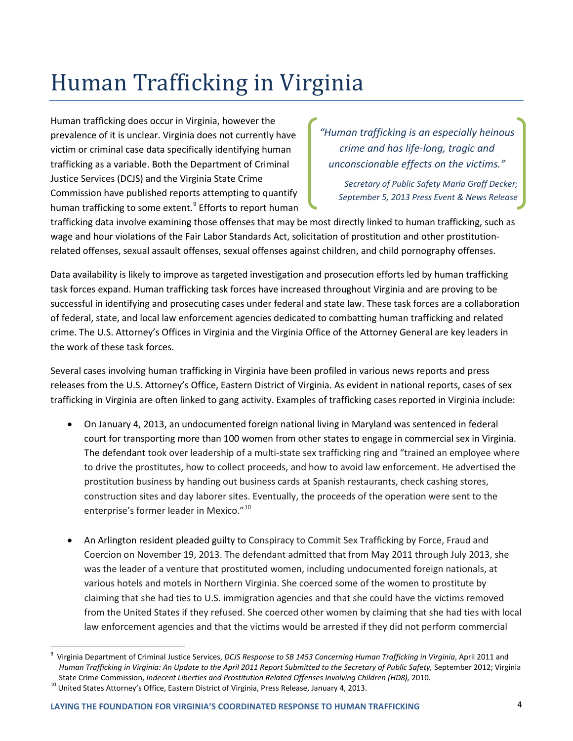# Human Trafficking in Virginia

Human trafficking does occur in Virginia, however the prevalence of it is unclear. Virginia does not currently have victim or criminal case data specifically identifying human trafficking as a variable. Both the Department of Criminal Justice Services (DCJS) and the Virginia State Crime Commission have published reports attempting to quantify human trafficking to some extent.<sup>[9](#page-6-0)</sup> Efforts to report human

*"Human trafficking is an especially heinous crime and has life-long, tragic and unconscionable effects on the victims."* 

*Secretary of Public Safety Marla Graff Decker; September 5, 2013 Press Event & News Release*

trafficking data involve examining those offenses that may be most directly linked to human trafficking, such as wage and hour violations of the Fair Labor Standards Act, solicitation of prostitution and other prostitutionrelated offenses, sexual assault offenses, sexual offenses against children, and child pornography offenses.

Data availability is likely to improve as targeted investigation and prosecution efforts led by human trafficking task forces expand. Human trafficking task forces have increased throughout Virginia and are proving to be successful in identifying and prosecuting cases under federal and state law. These task forces are a collaboration of federal, state, and local law enforcement agencies dedicated to combatting human trafficking and related crime. The U.S. Attorney's Offices in Virginia and the Virginia Office of the Attorney General are key leaders in the work of these task forces.

Several cases involving human trafficking in Virginia have been profiled in various news reports and press releases from the U.S. Attorney's Office, Eastern District of Virginia. As evident in national reports, cases of sex trafficking in Virginia are often linked to gang activity. Examples of trafficking cases reported in Virginia include:

- On January 4, 2013, an undocumented foreign national living in Maryland was sentenced in federal court for transporting more than 100 women from other states to engage in commercial sex in Virginia. The defendant took over leadership of a multi-state sex trafficking ring and "trained an employee where to drive the prostitutes, how to collect proceeds, and how to avoid law enforcement. He advertised the prostitution business by handing out business cards at Spanish restaurants, check cashing stores, construction sites and day laborer sites. Eventually, the proceeds of the operation were sent to the enterprise's former leader in Mexico."<sup>[10](#page-6-1)</sup>
- An Arlington resident pleaded guilty to Conspiracy to Commit Sex Trafficking by Force, Fraud and Coercion on November 19, 2013. The defendant admitted that from May 2011 through July 2013, she was the leader of a venture that prostituted women, including undocumented foreign nationals, at various hotels and motels in Northern Virginia. She coerced some of the women to prostitute by claiming that she had ties to U.S. immigration agencies and that she could have the victims removed from the United States if they refused. She coerced other women by claiming that she had ties with local law enforcement agencies and that the victims would be arrested if they did not perform commercial

<span id="page-6-0"></span> <sup>9</sup> Virginia Department of Criminal Justice Services, *DCJS Response to SB 1453 Concerning Human Trafficking in Virginia*, April 2011 and *Human Trafficking in Virginia: An Update to the April 2011 Report Submitted to the Secretary of Public Safety,* September 2012; Virginia State Crime Commission, *Indecent Liberties and Prostitution Related Offenses Involving Children (HD8),* 2010.<br><sup>10</sup> United States Attorney's Office, Eastern District of Virginia, Press Release, January 4, 2013.

<span id="page-6-1"></span>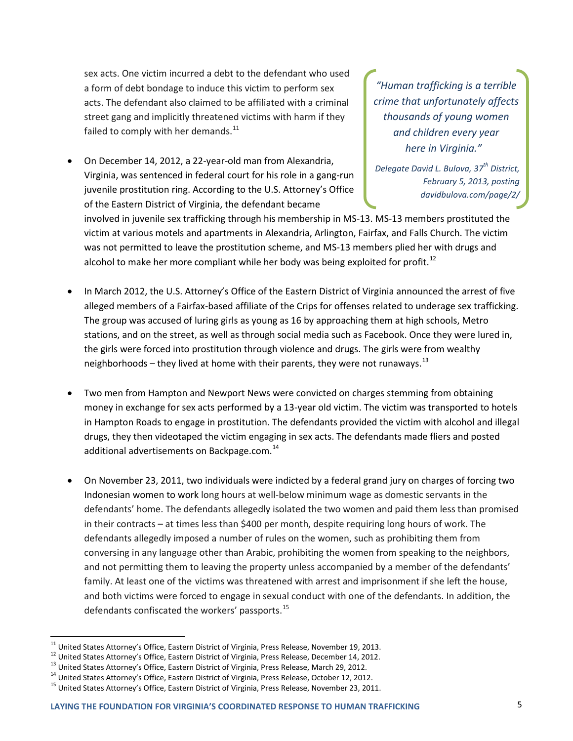sex acts. One victim incurred a debt to the defendant who used a form of debt bondage to induce this victim to perform sex acts. The defendant also claimed to be affiliated with a criminal street gang and implicitly threatened victims with harm if they failed to comply with her demands. $^{11}$  $^{11}$  $^{11}$ 

• On December 14, 2012, a 22-year-old man from Alexandria, Virginia, was sentenced in federal court for his role in a gang-run juvenile prostitution ring. According to the U.S. Attorney's Office of the Eastern District of Virginia, the defendant became

*"Human trafficking is a terrible crime that unfortunately affects thousands of young women and children every year here in Virginia."* 

*Delegate David L. Bulova, 37th District, February 5, 2013, posting davidbulova.com/page/2/*

involved in juvenile sex trafficking through his membership in MS-13. MS-13 members prostituted the victim at various motels and apartments in Alexandria, Arlington, Fairfax, and Falls Church. The victim was not permitted to leave the prostitution scheme, and MS-13 members plied her with drugs and alcohol to make her more compliant while her body was being exploited for profit.<sup>[12](#page-7-1)</sup>

- In March 2012, the U.S. Attorney's Office of the Eastern District of Virginia announced the arrest of five alleged members of a Fairfax-based affiliate of the Crips for offenses related to underage sex trafficking. The group was accused of luring girls as young as 16 by approaching them at high schools, Metro stations, and on the street, as well as through social media such as Facebook. Once they were lured in, the girls were forced into prostitution through violence and drugs. The girls were from wealthy neighborhoods – they lived at home with their parents, they were not runaways.<sup>[13](#page-7-2)</sup>
- Two men from Hampton and Newport News were convicted on charges stemming from obtaining money in exchange for sex acts performed by a 13-year old victim. The victim was transported to hotels in Hampton Roads to engage in prostitution. The defendants provided the victim with alcohol and illegal drugs, they then videotaped the victim engaging in sex acts. The defendants made fliers and posted additional advertisements on Backpage.com.<sup>[14](#page-7-3)</sup>
- On November 23, 2011, two individuals were indicted by a federal grand jury on charges of forcing two Indonesian women to work long hours at well-below minimum wage as domestic servants in the defendants' home. The defendants allegedly isolated the two women and paid them less than promised in their contracts – at times less than \$400 per month, despite requiring long hours of work. The defendants allegedly imposed a number of rules on the women, such as prohibiting them from conversing in any language other than Arabic, prohibiting the women from speaking to the neighbors, and not permitting them to leaving the property unless accompanied by a member of the defendants' family. At least one of the victims was threatened with arrest and imprisonment if she left the house, and both victims were forced to engage in sexual conduct with one of the defendants. In addition, the defendants confiscated the workers' passports.<sup>[15](#page-7-4)</sup>

<span id="page-7-1"></span><span id="page-7-0"></span><sup>&</sup>lt;sup>11</sup> United States Attorney's Office, Eastern District of Virginia, Press Release, November 19, 2013.<br><sup>12</sup> United States Attorney's Office, Eastern District of Virginia, Press Release, December 14, 2012.<br><sup>13</sup> United State

<span id="page-7-2"></span>

<span id="page-7-3"></span>

<span id="page-7-4"></span>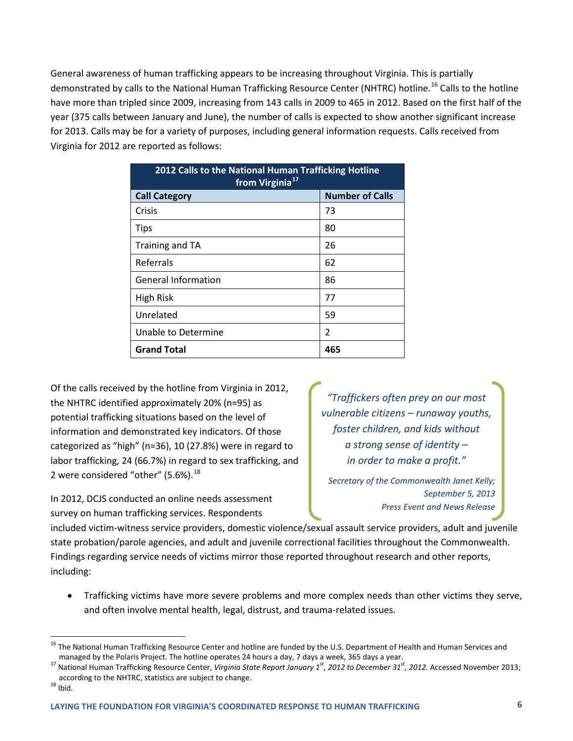General awareness of human trafficking appears to be increasing throughout Virginia. This is partially demonstrated by calls to the National Human Trafficking Resource Center (NHTRC) hotline.<sup>[16](#page-8-0)</sup> Calls to the hotline have more than tripled since 2009, increasing from 143 calls in 2009 to 465 in 2012. Based on the first half of the year (375 calls between January and June), the number of calls is expected to show another significant increase for 2013. Calls may be for a variety of purposes, including general information requests. Calls received from Virginia for 2012 are reported as follows:

| 2012 Calls to the National Human Trafficking Hotline<br>from Virginia <sup>17</sup> |                        |
|-------------------------------------------------------------------------------------|------------------------|
| <b>Call Category</b>                                                                | <b>Number of Calls</b> |
| Crisis                                                                              | 73                     |
| <b>Tips</b>                                                                         | 80                     |
| Training and TA                                                                     | 26                     |
| Referrals                                                                           | 62                     |
| <b>General Information</b>                                                          | 86                     |
| <b>High Risk</b>                                                                    | 77                     |
| Unrelated                                                                           | 59                     |
| Unable to Determine                                                                 | 2                      |
| <b>Grand Total</b>                                                                  | 465                    |

Of the calls received by the hotline from Virginia in 2012, the NHTRC identified approximately 20% (n=95) as potential trafficking situations based on the level of information and demonstrated key indicators. Of those categorized as "high" (n=36), 10 (27.8%) were in regard to labor trafficking, 24 (66.7%) in regard to sex trafficking, and 2 were considered "other"  $(5.6%)$ .<sup>[18](#page-8-2)</sup>

In 2012, DCJS conducted an online needs assessment survey on human trafficking services. Respondents

*"Traffickers often prey on our most vulnerable citizens – runaway youths, foster children, and kids without a strong sense of identity – in order to make a profit."* 

*Secretary of the Commonwealth Janet Kelly; September 5, 2013 Press Event and News Release*

included victim-witness service providers, domestic violence/sexual assault service providers, adult and juvenile state probation/parole agencies, and adult and juvenile correctional facilities throughout the Commonwealth. Findings regarding service needs of victims mirror those reported throughout research and other reports, including:

• Trafficking victims have more severe problems and more complex needs than other victims they serve, and often involve mental health, legal, distrust, and trauma-related issues.

<span id="page-8-0"></span><sup>&</sup>lt;sup>16</sup> The National Human Trafficking Resource Center and hotline are funded by the U.S. Department of Health and Human Services and

<span id="page-8-1"></span>managed by the Polaris Project. The hotline operates 24 hours a day, 7 days a week, 365 days a year.<br><sup>17</sup> National Human Trafficking Resource Center, *Virginia State Report January 1<sup>st</sup>, 2012 to December 31<sup>st</sup>, 2012. Ac* according to the NHTRC, statistics are subject to change.  $^{18}$  Ibid.

<span id="page-8-2"></span>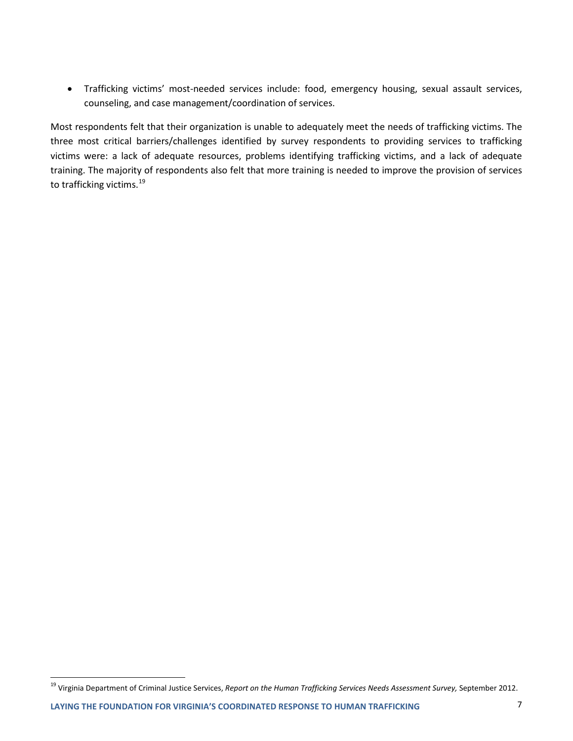• Trafficking victims' most-needed services include: food, emergency housing, sexual assault services, counseling, and case management/coordination of services.

Most respondents felt that their organization is unable to adequately meet the needs of trafficking victims. The three most critical barriers/challenges identified by survey respondents to providing services to trafficking victims were: a lack of adequate resources, problems identifying trafficking victims, and a lack of adequate training. The majority of respondents also felt that more training is needed to improve the provision of services to trafficking victims.<sup>[19](#page-9-0)</sup>

<span id="page-9-0"></span><sup>&</sup>lt;sup>19</sup> Virginia Department of Criminal Justice Services, Report on the Human Trafficking Services Needs Assessment Survey, September 2012.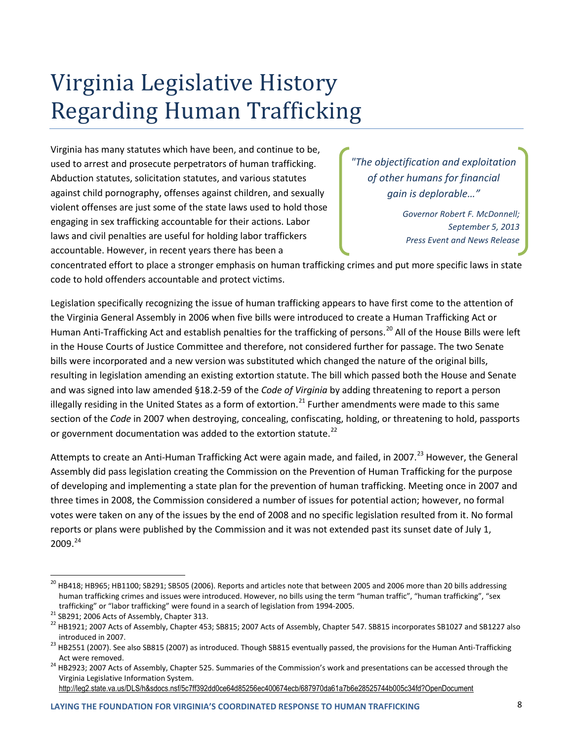## Virginia Legislative History Regarding Human Trafficking

Virginia has many statutes which have been, and continue to be, used to arrest and prosecute perpetrators of human trafficking. Abduction statutes, solicitation statutes, and various statutes against child pornography, offenses against children, and sexually violent offenses are just some of the state laws used to hold those engaging in sex trafficking accountable for their actions. Labor laws and civil penalties are useful for holding labor traffickers accountable. However, in recent years there has been a

*"The objectification and exploitation of other humans for financial gain is deplorable…"*

> *Governor Robert F. McDonnell; September 5, 2013 Press Event and News Release*

concentrated effort to place a stronger emphasis on human trafficking crimes and put more specific laws in state code to hold offenders accountable and protect victims.

Legislation specifically recognizing the issue of human trafficking appears to have first come to the attention of the Virginia General Assembly in 2006 when five bills were introduced to create a Human Trafficking Act or Human Anti-Trafficking Act and establish penalties for the trafficking of persons.<sup>[20](#page-10-0)</sup> All of the House Bills were left in the House Courts of Justice Committee and therefore, not considered further for passage. The two Senate bills were incorporated and a new version was substituted which changed the nature of the original bills, resulting in legislation amending an existing extortion statute. The bill which passed both the House and Senate and was signed into law amended §18.2-59 of the *Code of Virginia* by adding threatening to report a person illegally residing in the United States as a form of extortion.<sup>[21](#page-10-1)</sup> Further amendments were made to this same section of the *Code* in 2007 when destroying, concealing, confiscating, holding, or threatening to hold, passports or government documentation was added to the extortion statute.<sup>[22](#page-10-2)</sup>

Attempts to create an Anti-Human Trafficking Act were again made, and failed, in 2007.<sup>[23](#page-10-3)</sup> However, the General Assembly did pass legislation creating the Commission on the Prevention of Human Trafficking for the purpose of developing and implementing a state plan for the prevention of human trafficking. Meeting once in 2007 and three times in 2008, the Commission considered a number of issues for potential action; however, no formal votes were taken on any of the issues by the end of 2008 and no specific legislation resulted from it. No formal reports or plans were published by the Commission and it was not extended past its sunset date of July 1, 2009. [24](#page-10-4)

<span id="page-10-0"></span><sup>&</sup>lt;sup>20</sup> HB418; HB965; HB1100; SB291; SB505 (2006). Reports and articles note that between 2005 and 2006 more than 20 bills addressing human trafficking crimes and issues were introduced. However, no bills using the term "human traffic", "human trafficking", "sex

<span id="page-10-1"></span>trafficking" or "labor trafficking" were found in a search of legislation from 1994-2005.<br><sup>21</sup> SB291; 2006 Acts of Assembly, Chapter 313.<br><sup>22</sup> HB1921; 2007 Acts of Assembly, Chapter 453; SB815; 2007 Acts of Assembly, Chapt

<span id="page-10-3"></span><span id="page-10-2"></span>introduced in 2007.<br><sup>23</sup> HB2551 (2007). See also SB815 (2007) as introduced. Though SB815 eventually passed, the provisions for the Human Anti-Trafficking Act were removed.<br><sup>24</sup> HB2923; 2007 Acts of Assembly, Chapter 525. Summaries of the Commission's work and presentations can be accessed through the

<span id="page-10-4"></span>Virginia Legislative Information System. <http://leg2.state.va.us/DLS/h&sdocs.nsf/5c7ff392dd0ce64d85256ec400674ecb/687970da61a7b6e28525744b005c34fd?OpenDocument>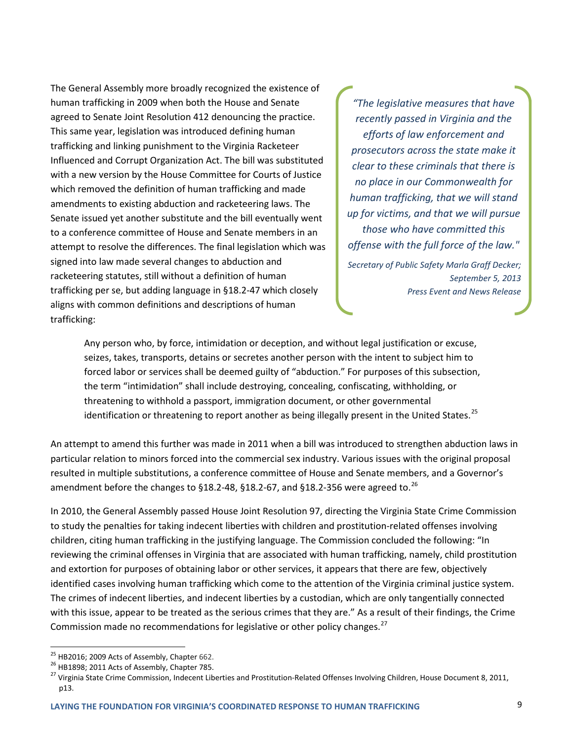The General Assembly more broadly recognized the existence of human trafficking in 2009 when both the House and Senate agreed to Senate Joint Resolution 412 denouncing the practice. This same year, legislation was introduced defining human trafficking and linking punishment to the Virginia Racketeer Influenced and Corrupt Organization Act. The bill was substituted with a new version by the House Committee for Courts of Justice which removed the definition of human trafficking and made amendments to existing abduction and racketeering laws. The Senate issued yet another substitute and the bill eventually went to a conference committee of House and Senate members in an attempt to resolve the differences. The final legislation which was signed into law made several changes to abduction and racketeering statutes, still without a definition of human trafficking per se, but adding language in §18.2-47 which closely aligns with common definitions and descriptions of human trafficking:

*"The legislative measures that have recently passed in Virginia and the efforts of law enforcement and prosecutors across the state make it clear to these criminals that there is no place in our Commonwealth for human trafficking, that we will stand up for victims, and that we will pursue those who have committed this offense with the full force of the law."* 

*Secretary of Public Safety Marla Graff Decker; September 5, 2013 Press Event and News Release*

Any person who, by force, intimidation or deception, and without legal justification or excuse, seizes, takes, transports, detains or secretes another person with the intent to subject him to forced labor or services shall be deemed guilty of "abduction." For purposes of this subsection, the term "intimidation" shall include destroying, concealing, confiscating, withholding, or threatening to withhold a passport, immigration document, or other governmental identification or threatening to report another as being illegally present in the United States.<sup>[25](#page-11-0)</sup>

An attempt to amend this further was made in 2011 when a bill was introduced to strengthen abduction laws in particular relation to minors forced into the commercial sex industry. Various issues with the original proposal resulted in multiple substitutions, a conference committee of House and Senate members, and a Governor's amendment before the changes to  $\S18.2$ -48,  $\S18.2$ -67, and  $\S18.2$ -356 were agreed to.<sup>[26](#page-11-1)</sup>

In 2010, the General Assembly passed House Joint Resolution 97, directing the Virginia State Crime Commission to study the penalties for taking indecent liberties with children and prostitution-related offenses involving children, citing human trafficking in the justifying language. The Commission concluded the following: "In reviewing the criminal offenses in Virginia that are associated with human trafficking, namely, child prostitution and extortion for purposes of obtaining labor or other services, it appears that there are few, objectively identified cases involving human trafficking which come to the attention of the Virginia criminal justice system. The crimes of indecent liberties, and indecent liberties by a custodian, which are only tangentially connected with this issue, appear to be treated as the serious crimes that they are." As a result of their findings, the Crime Commission made no recommendations for legislative or other policy changes.<sup>[27](#page-11-2)</sup>

<span id="page-11-2"></span><span id="page-11-1"></span>

<span id="page-11-0"></span><sup>&</sup>lt;sup>25</sup> HB2016; 2009 Acts of Assembly, Chapter 662.<br><sup>26</sup> HB1898; 2011 Acts of Assembly, Chapter 785.<br><sup>27</sup> Virginia State Crime Commission, Indecent Liberties and Prostitution-Related Offenses Involving Children, House Documen p13.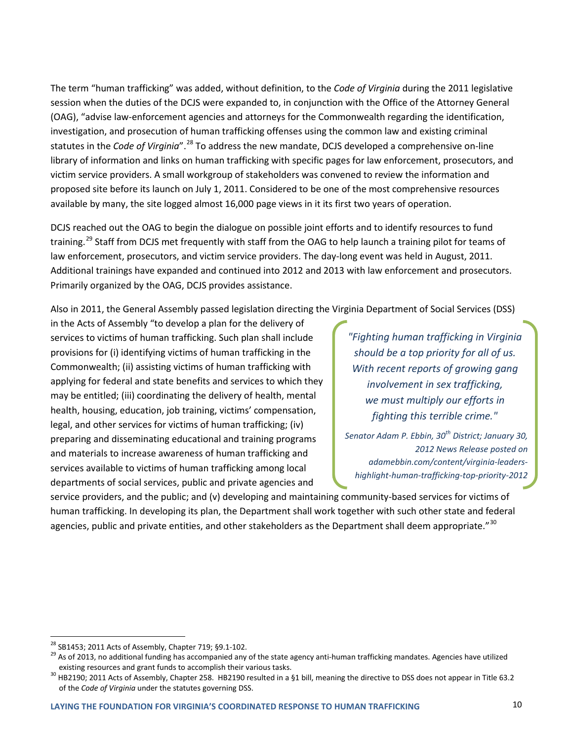The term "human trafficking" was added, without definition, to the *Code of Virginia* during the 2011 legislative session when the duties of the DCJS were expanded to, in conjunction with the Office of the Attorney General (OAG), "advise law-enforcement agencies and attorneys for the Commonwealth regarding the identification, investigation, and prosecution of human trafficking offenses using the common law and existing criminal statutes in the *Code of Virginia*".<sup>[28](#page-12-0)</sup> To address the new mandate, DCJS developed a comprehensive on-line library of information and links on human trafficking with specific pages for law enforcement, prosecutors, and victim service providers. A small workgroup of stakeholders was convened to review the information and proposed site before its launch on July 1, 2011. Considered to be one of the most comprehensive resources available by many, the site logged almost 16,000 page views in it its first two years of operation.

DCJS reached out the OAG to begin the dialogue on possible joint efforts and to identify resources to fund training.<sup>[29](#page-12-1)</sup> Staff from DCJS met frequently with staff from the OAG to help launch a training pilot for teams of law enforcement, prosecutors, and victim service providers. The day-long event was held in August, 2011. Additional trainings have expanded and continued into 2012 and 2013 with law enforcement and prosecutors. Primarily organized by the OAG, DCJS provides assistance.

Also in 2011, the General Assembly passed legislation directing the Virginia Department of Social Services (DSS)

in the Acts of Assembly "to develop a plan for the delivery of services to victims of human trafficking. Such plan shall include provisions for (i) identifying victims of human trafficking in the Commonwealth; (ii) assisting victims of human trafficking with applying for federal and state benefits and services to which they may be entitled; (iii) coordinating the delivery of health, mental health, housing, education, job training, victims' compensation, legal, and other services for victims of human trafficking; (iv) preparing and disseminating educational and training programs and materials to increase awareness of human trafficking and services available to victims of human trafficking among local departments of social services, public and private agencies and

*"Fighting human trafficking in Virginia should be a top priority for all of us. With recent reports of growing gang involvement in sex trafficking, we must multiply our efforts in fighting this terrible crime."* 

*Senator Adam P. Ebbin, 30th District; January 30, 2012 News Release posted on adamebbin.com/content/virginia-leadershighlight-human-trafficking-top-priority-2012*

service providers, and the public; and (v) developing and maintaining community-based services for victims of human trafficking. In developing its plan, the Department shall work together with such other state and federal agencies, public and private entities, and other stakeholders as the Department shall deem appropriate."<sup>[30](#page-12-2)</sup>

<span id="page-12-1"></span><span id="page-12-0"></span><sup>&</sup>lt;sup>28</sup> SB1453; 2011 Acts of Assembly, Chapter 719; §9.1-102.<br><sup>29</sup> As of 2013, no additional funding has accompanied any of the state agency anti-human trafficking mandates. Agencies have utilized

<span id="page-12-2"></span>existing resources and grant funds to accomplish their various tasks.<br><sup>30</sup> HB2190; 2011 Acts of Assembly, Chapter 258. HB2190 resulted in a §1 bill, meaning the directive to DSS does not appear in Title 63.2 of the *Code of Virginia* under the statutes governing DSS.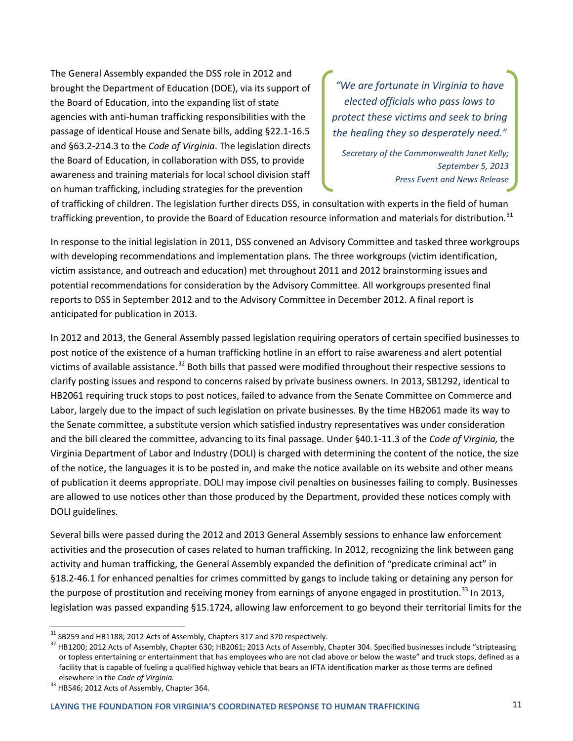The General Assembly expanded the DSS role in 2012 and brought the Department of Education (DOE), via its support of the Board of Education, into the expanding list of state agencies with anti-human trafficking responsibilities with the passage of identical House and Senate bills, adding §22.1-16.5 and §63.2-214.3 to the *Code of Virginia*. The legislation directs the Board of Education, in collaboration with DSS, to provide awareness and training materials for local school division staff on human trafficking, including strategies for the prevention

*"We are fortunate in Virginia to have elected officials who pass laws to protect these victims and seek to bring the healing they so desperately need."* 

*Secretary of the Commonwealth Janet Kelly; September 5, 2013 Press Event and News Release*

of trafficking of children. The legislation further directs DSS, in consultation with experts in the field of human trafficking prevention, to provide the Board of Education resource information and materials for distribution.<sup>[31](#page-13-0)</sup>

In response to the initial legislation in 2011, DSS convened an Advisory Committee and tasked three workgroups with developing recommendations and implementation plans. The three workgroups (victim identification, victim assistance, and outreach and education) met throughout 2011 and 2012 brainstorming issues and potential recommendations for consideration by the Advisory Committee. All workgroups presented final reports to DSS in September 2012 and to the Advisory Committee in December 2012. A final report is anticipated for publication in 2013.

In 2012 and 2013, the General Assembly passed legislation requiring operators of certain specified businesses to post notice of the existence of a human trafficking hotline in an effort to raise awareness and alert potential victims of available assistance.<sup>[32](#page-13-1)</sup> Both bills that passed were modified throughout their respective sessions to clarify posting issues and respond to concerns raised by private business owners. In 2013, SB1292, identical to HB2061 requiring truck stops to post notices, failed to advance from the Senate Committee on Commerce and Labor, largely due to the impact of such legislation on private businesses. By the time HB2061 made its way to the Senate committee, a substitute version which satisfied industry representatives was under consideration and the bill cleared the committee, advancing to its final passage. Under §40.1-11.3 of the *Code of Virginia,* the Virginia Department of Labor and Industry (DOLI) is charged with determining the content of the notice, the size of the notice, the languages it is to be posted in, and make the notice available on its website and other means of publication it deems appropriate. DOLI may impose civil penalties on businesses failing to comply. Businesses are allowed to use notices other than those produced by the Department, provided these notices comply with DOLI guidelines.

Several bills were passed during the 2012 and 2013 General Assembly sessions to enhance law enforcement activities and the prosecution of cases related to human trafficking. In 2012, recognizing the link between gang activity and human trafficking, the General Assembly expanded the definition of "predicate criminal act" in §18.2-46.1 for enhanced penalties for crimes committed by gangs to include taking or detaining any person for the purpose of prostitution and receiving money from earnings of anyone engaged in prostitution.<sup>[33](#page-13-2)</sup> In 2013, legislation was passed expanding §15.1724, allowing law enforcement to go beyond their territorial limits for the

<span id="page-13-1"></span><span id="page-13-0"></span> $\frac{31}{32}$ SB259 and HB1188; 2012 Acts of Assembly, Chapters 317 and 370 respectively.<br> $\frac{32}{3}$ HB1200: 2012 Acts of Assembly, Chapter 630; HB2061; 2013 Acts of Assembly, Chapter 304. Specified businesses include "stript or topless entertaining or entertainment that has employees who are not clad above or below the waste" and truck stops, defined as a facility that is capable of fueling a qualified highway vehicle that bears an IFTA identification marker as those terms are defined elsewhere in the *Code of Virginia.* <sup>33</sup> HB546; 2012 Acts of Assembly, Chapter 364.

<span id="page-13-2"></span>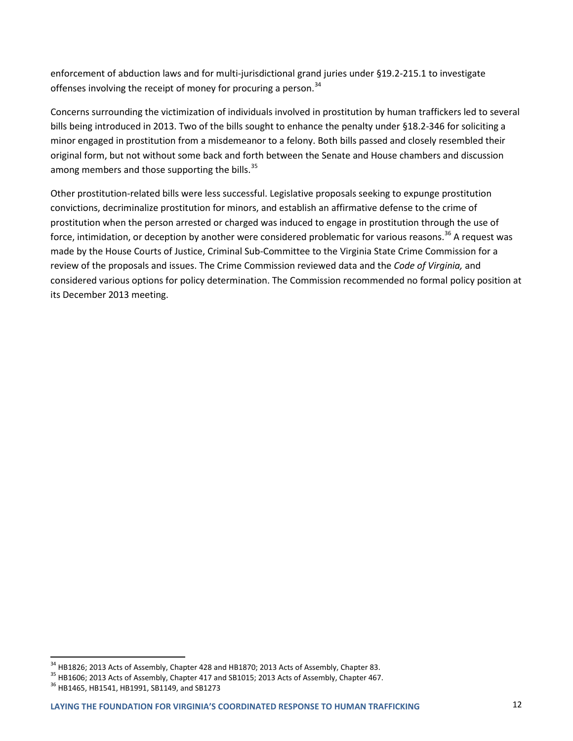enforcement of abduction laws and for multi-jurisdictional grand juries under §19.2-215.1 to investigate offenses involving the receipt of money for procuring a person.<sup>[34](#page-14-0)</sup>

Concerns surrounding the victimization of individuals involved in prostitution by human traffickers led to several bills being introduced in 2013. Two of the bills sought to enhance the penalty under §18.2-346 for soliciting a minor engaged in prostitution from a misdemeanor to a felony. Both bills passed and closely resembled their original form, but not without some back and forth between the Senate and House chambers and discussion among members and those supporting the bills.<sup>[35](#page-14-1)</sup>

Other prostitution-related bills were less successful. Legislative proposals seeking to expunge prostitution convictions, decriminalize prostitution for minors, and establish an affirmative defense to the crime of prostitution when the person arrested or charged was induced to engage in prostitution through the use of force, intimidation, or deception by another were considered problematic for various reasons.<sup>[36](#page-14-2)</sup> A request was made by the House Courts of Justice, Criminal Sub-Committee to the Virginia State Crime Commission for a review of the proposals and issues. The Crime Commission reviewed data and the *Code of Virginia,* and considered various options for policy determination. The Commission recommended no formal policy position at its December 2013 meeting.

<span id="page-14-1"></span><span id="page-14-0"></span> $^{34}$  HB1826; 2013 Acts of Assembly, Chapter 428 and HB1870; 2013 Acts of Assembly, Chapter 83.<br> $^{35}$  HB1606; 2013 Acts of Assembly, Chapter 417 and SB1015; 2013 Acts of Assembly, Chapter 467.<br> $^{36}$  HB1465, HB1541, HB1

<span id="page-14-2"></span>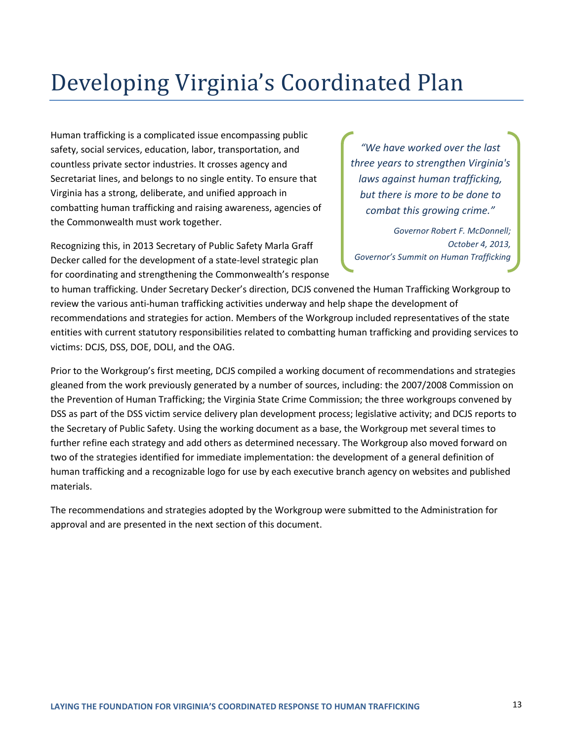### Developing Virginia's Coordinated Plan

Human trafficking is a complicated issue encompassing public safety, social services, education, labor, transportation, and countless private sector industries. It crosses agency and Secretariat lines, and belongs to no single entity. To ensure that Virginia has a strong, deliberate, and unified approach in combatting human trafficking and raising awareness, agencies of the Commonwealth must work together.

Recognizing this, in 2013 Secretary of Public Safety Marla Graff Decker called for the development of a state-level strategic plan for coordinating and strengthening the Commonwealth's response

*"We have worked over the last three years to strengthen Virginia's laws against human trafficking, but there is more to be done to combat this growing crime."*

*Governor Robert F. McDonnell; October 4, 2013, Governor's Summit on Human Trafficking*

to human trafficking. Under Secretary Decker's direction, DCJS convened the Human Trafficking Workgroup to review the various anti-human trafficking activities underway and help shape the development of recommendations and strategies for action. Members of the Workgroup included representatives of the state entities with current statutory responsibilities related to combatting human trafficking and providing services to victims: DCJS, DSS, DOE, DOLI, and the OAG.

Prior to the Workgroup's first meeting, DCJS compiled a working document of recommendations and strategies gleaned from the work previously generated by a number of sources, including: the 2007/2008 Commission on the Prevention of Human Trafficking; the Virginia State Crime Commission; the three workgroups convened by DSS as part of the DSS victim service delivery plan development process; legislative activity; and DCJS reports to the Secretary of Public Safety. Using the working document as a base, the Workgroup met several times to further refine each strategy and add others as determined necessary. The Workgroup also moved forward on two of the strategies identified for immediate implementation: the development of a general definition of human trafficking and a recognizable logo for use by each executive branch agency on websites and published materials.

The recommendations and strategies adopted by the Workgroup were submitted to the Administration for approval and are presented in the next section of this document.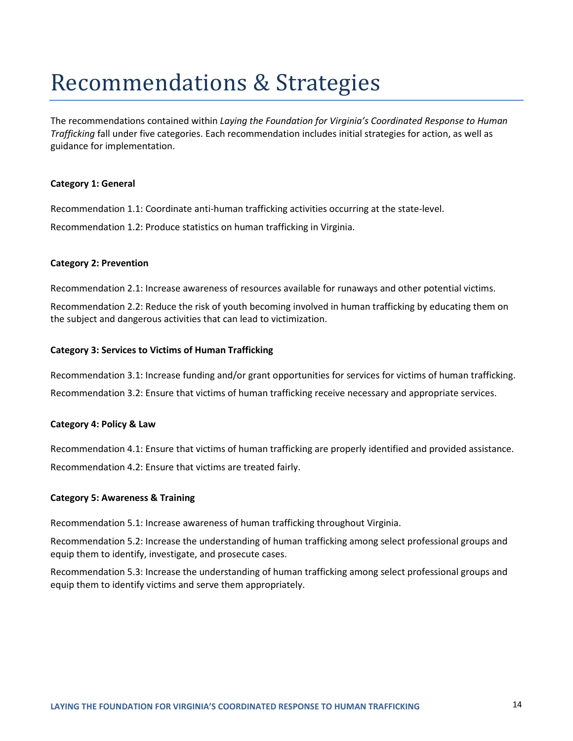### Recommendations & Strategies

The recommendations contained within *Laying the Foundation for Virginia's Coordinated Response to Human Trafficking* fall under five categories. Each recommendation includes initial strategies for action, as well as guidance for implementation.

#### **Category 1: General**

Recommendation 1.1: Coordinate anti-human trafficking activities occurring at the state-level. Recommendation 1.2: Produce statistics on human trafficking in Virginia.

#### **Category 2: Prevention**

Recommendation 2.1: Increase awareness of resources available for runaways and other potential victims.

Recommendation 2.2: Reduce the risk of youth becoming involved in human trafficking by educating them on the subject and dangerous activities that can lead to victimization.

#### **Category 3: Services to Victims of Human Trafficking**

Recommendation 3.1: Increase funding and/or grant opportunities for services for victims of human trafficking. Recommendation 3.2: Ensure that victims of human trafficking receive necessary and appropriate services.

### **Category 4: Policy & Law**

Recommendation 4.1: Ensure that victims of human trafficking are properly identified and provided assistance. Recommendation 4.2: Ensure that victims are treated fairly.

### **Category 5: Awareness & Training**

Recommendation 5.1: Increase awareness of human trafficking throughout Virginia.

Recommendation 5.2: Increase the understanding of human trafficking among select professional groups and equip them to identify, investigate, and prosecute cases.

Recommendation 5.3: Increase the understanding of human trafficking among select professional groups and equip them to identify victims and serve them appropriately.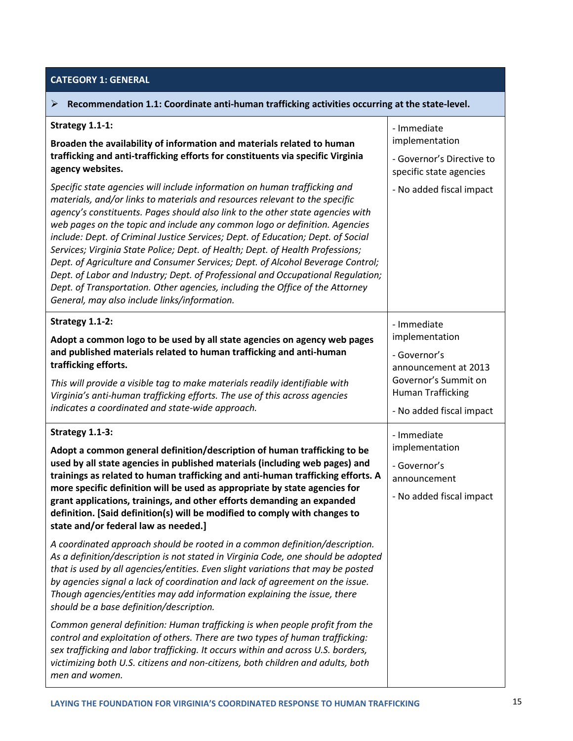### **CATEGORY 1: GENERAL**

| Recommendation 1.1: Coordinate anti-human trafficking activities occurring at the state-level.<br>➤                                                                                                                                                                                                                                                                                                                                                                                                                                                                                                                                                                                                                                                                                                                                                                                                                                                                                                                                                                                                                                                                                                                                                                                                                                                                   |                                                                                                                                                       |
|-----------------------------------------------------------------------------------------------------------------------------------------------------------------------------------------------------------------------------------------------------------------------------------------------------------------------------------------------------------------------------------------------------------------------------------------------------------------------------------------------------------------------------------------------------------------------------------------------------------------------------------------------------------------------------------------------------------------------------------------------------------------------------------------------------------------------------------------------------------------------------------------------------------------------------------------------------------------------------------------------------------------------------------------------------------------------------------------------------------------------------------------------------------------------------------------------------------------------------------------------------------------------------------------------------------------------------------------------------------------------|-------------------------------------------------------------------------------------------------------------------------------------------------------|
| Strategy 1.1-1:<br>Broaden the availability of information and materials related to human<br>trafficking and anti-trafficking efforts for constituents via specific Virginia<br>agency websites.<br>Specific state agencies will include information on human trafficking and<br>materials, and/or links to materials and resources relevant to the specific<br>agency's constituents. Pages should also link to the other state agencies with<br>web pages on the topic and include any common logo or definition. Agencies<br>include: Dept. of Criminal Justice Services; Dept. of Education; Dept. of Social<br>Services; Virginia State Police; Dept. of Health; Dept. of Health Professions;<br>Dept. of Agriculture and Consumer Services; Dept. of Alcohol Beverage Control;<br>Dept. of Labor and Industry; Dept. of Professional and Occupational Regulation;<br>Dept. of Transportation. Other agencies, including the Office of the Attorney<br>General, may also include links/information.                                                                                                                                                                                                                                                                                                                                                              | - Immediate<br>implementation<br>- Governor's Directive to<br>specific state agencies<br>- No added fiscal impact                                     |
| Strategy 1.1-2:<br>Adopt a common logo to be used by all state agencies on agency web pages<br>and published materials related to human trafficking and anti-human<br>trafficking efforts.<br>This will provide a visible tag to make materials readily identifiable with<br>Virginia's anti-human trafficking efforts. The use of this across agencies<br>indicates a coordinated and state-wide approach.                                                                                                                                                                                                                                                                                                                                                                                                                                                                                                                                                                                                                                                                                                                                                                                                                                                                                                                                                           | - Immediate<br>implementation<br>- Governor's<br>announcement at 2013<br>Governor's Summit on<br><b>Human Trafficking</b><br>- No added fiscal impact |
| Strategy 1.1-3:<br>Adopt a common general definition/description of human trafficking to be<br>used by all state agencies in published materials (including web pages) and<br>trainings as related to human trafficking and anti-human trafficking efforts. A<br>more specific definition will be used as appropriate by state agencies for<br>grant applications, trainings, and other efforts demanding an expanded<br>definition. [Said definition(s) will be modified to comply with changes to<br>state and/or federal law as needed.]<br>A coordinated approach should be rooted in a common definition/description.<br>As a definition/description is not stated in Virginia Code, one should be adopted<br>that is used by all agencies/entities. Even slight variations that may be posted<br>by agencies signal a lack of coordination and lack of agreement on the issue.<br>Though agencies/entities may add information explaining the issue, there<br>should be a base definition/description.<br>Common general definition: Human trafficking is when people profit from the<br>control and exploitation of others. There are two types of human trafficking:<br>sex trafficking and labor trafficking. It occurs within and across U.S. borders,<br>victimizing both U.S. citizens and non-citizens, both children and adults, both<br>men and women. | - Immediate<br>implementation<br>- Governor's<br>announcement<br>- No added fiscal impact                                                             |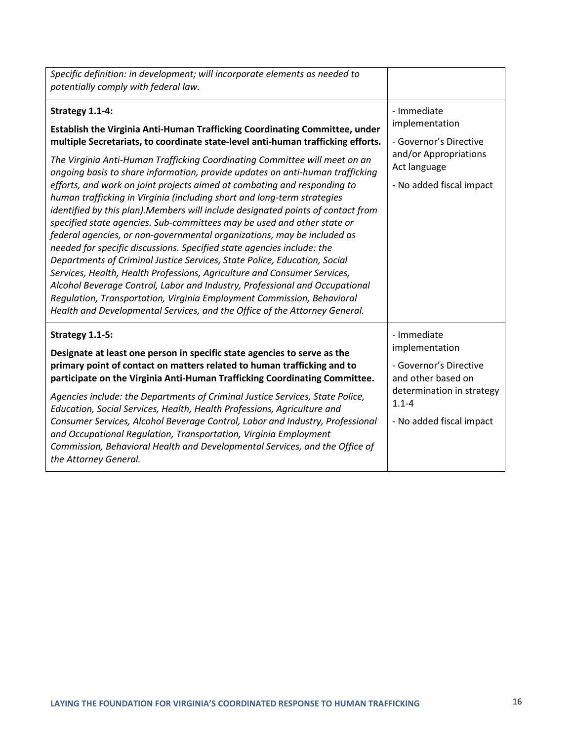| Specific definition: in development; will incorporate elements as needed to<br>potentially comply with federal law.                                                                                                                                                                                                                                                                                                                                                                                                                                                                                                                                                                                                                                                                                                                                                                                                                                                                                                                                                                                                                                                                                                          |                                                                                                                                                     |
|------------------------------------------------------------------------------------------------------------------------------------------------------------------------------------------------------------------------------------------------------------------------------------------------------------------------------------------------------------------------------------------------------------------------------------------------------------------------------------------------------------------------------------------------------------------------------------------------------------------------------------------------------------------------------------------------------------------------------------------------------------------------------------------------------------------------------------------------------------------------------------------------------------------------------------------------------------------------------------------------------------------------------------------------------------------------------------------------------------------------------------------------------------------------------------------------------------------------------|-----------------------------------------------------------------------------------------------------------------------------------------------------|
| Strategy 1.1-4:<br>Establish the Virginia Anti-Human Trafficking Coordinating Committee, under<br>multiple Secretariats, to coordinate state-level anti-human trafficking efforts.<br>The Virginia Anti-Human Trafficking Coordinating Committee will meet on an<br>ongoing basis to share information, provide updates on anti-human trafficking<br>efforts, and work on joint projects aimed at combating and responding to<br>human trafficking in Virginia (including short and long-term strategies<br>identified by this plan). Members will include designated points of contact from<br>specified state agencies. Sub-committees may be used and other state or<br>federal agencies, or non-governmental organizations, may be included as<br>needed for specific discussions. Specified state agencies include: the<br>Departments of Criminal Justice Services, State Police, Education, Social<br>Services, Health, Health Professions, Agriculture and Consumer Services,<br>Alcohol Beverage Control, Labor and Industry, Professional and Occupational<br>Regulation, Transportation, Virginia Employment Commission, Behavioral<br>Health and Developmental Services, and the Office of the Attorney General. | - Immediate<br>implementation<br>- Governor's Directive<br>and/or Appropriations<br>Act language<br>- No added fiscal impact                        |
| Strategy 1.1-5:<br>Designate at least one person in specific state agencies to serve as the<br>primary point of contact on matters related to human trafficking and to<br>participate on the Virginia Anti-Human Trafficking Coordinating Committee.<br>Agencies include: the Departments of Criminal Justice Services, State Police,<br>Education, Social Services, Health, Health Professions, Agriculture and<br>Consumer Services, Alcohol Beverage Control, Labor and Industry, Professional<br>and Occupational Regulation, Transportation, Virginia Employment<br>Commission, Behavioral Health and Developmental Services, and the Office of<br>the Attorney General.                                                                                                                                                                                                                                                                                                                                                                                                                                                                                                                                                | - Immediate<br>implementation<br>- Governor's Directive<br>and other based on<br>determination in strategy<br>$1.1 - 4$<br>- No added fiscal impact |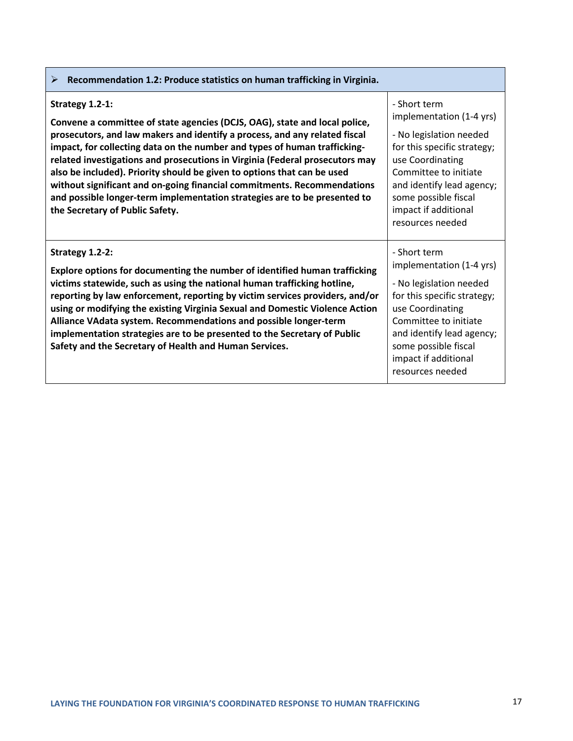| Recommendation 1.2: Produce statistics on human trafficking in Virginia.<br>➤                                                                                                                                                                                                                                                                                                                                                                                                                                                                                                                                  |                                                                                                                                                                                                                                                  |
|----------------------------------------------------------------------------------------------------------------------------------------------------------------------------------------------------------------------------------------------------------------------------------------------------------------------------------------------------------------------------------------------------------------------------------------------------------------------------------------------------------------------------------------------------------------------------------------------------------------|--------------------------------------------------------------------------------------------------------------------------------------------------------------------------------------------------------------------------------------------------|
| Strategy 1.2-1:<br>Convene a committee of state agencies (DCJS, OAG), state and local police,<br>prosecutors, and law makers and identify a process, and any related fiscal<br>impact, for collecting data on the number and types of human trafficking-<br>related investigations and prosecutions in Virginia (Federal prosecutors may<br>also be included). Priority should be given to options that can be used<br>without significant and on-going financial commitments. Recommendations<br>and possible longer-term implementation strategies are to be presented to<br>the Secretary of Public Safety. | - Short term<br>implementation (1-4 yrs)<br>- No legislation needed<br>for this specific strategy;<br>use Coordinating<br>Committee to initiate<br>and identify lead agency;<br>some possible fiscal<br>impact if additional<br>resources needed |
| Strategy 1.2-2:<br>Explore options for documenting the number of identified human trafficking<br>victims statewide, such as using the national human trafficking hotline,<br>reporting by law enforcement, reporting by victim services providers, and/or<br>using or modifying the existing Virginia Sexual and Domestic Violence Action<br>Alliance VAdata system. Recommendations and possible longer-term<br>implementation strategies are to be presented to the Secretary of Public<br>Safety and the Secretary of Health and Human Services.                                                            | - Short term<br>implementation (1-4 yrs)<br>- No legislation needed<br>for this specific strategy;<br>use Coordinating<br>Committee to initiate<br>and identify lead agency;<br>some possible fiscal<br>impact if additional<br>resources needed |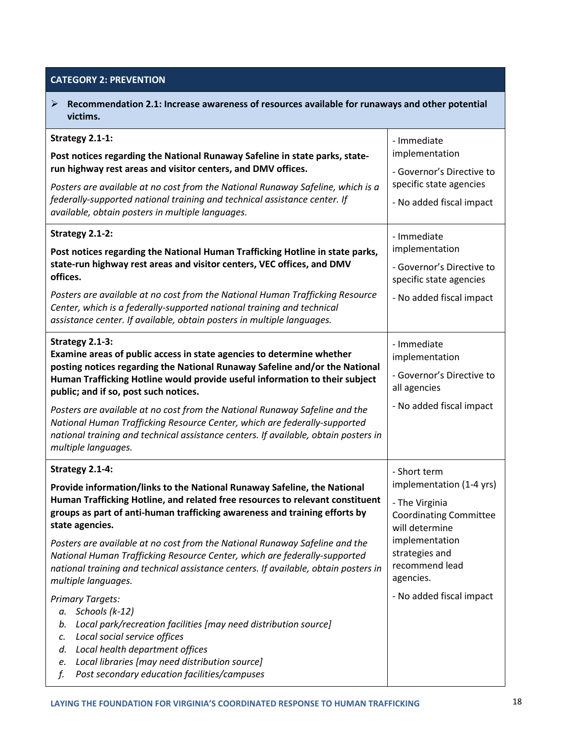**CATEGORY 2: PREVENTION**

 **Recommendation 2.1: Increase awareness of resources available for runaways and other potential victims. Strategy 2.1-1: Post notices regarding the National Runaway Safeline in state parks, staterun highway rest areas and visitor centers, and DMV offices.** *Posters are available at no cost from the National Runaway Safeline, which is a federally-supported national training and technical assistance center. If available, obtain posters in multiple languages.* - Immediate implementation - Governor's Directive to specific state agencies - No added fiscal impact **Strategy 2.1-2: Post notices regarding the National Human Trafficking Hotline in state parks, state-run highway rest areas and visitor centers, VEC offices, and DMV offices.** *Posters are available at no cost from the National Human Trafficking Resource Center, which is a federally-supported national training and technical assistance center. If available, obtain posters in multiple languages.* - Immediate implementation - Governor's Directive to specific state agencies - No added fiscal impact **Strategy 2.1-3: Examine areas of public access in state agencies to determine whether posting notices regarding the National Runaway Safeline and/or the National Human Trafficking Hotline would provide useful information to their subject public; and if so, post such notices.** *Posters are available at no cost from the National Runaway Safeline and the National Human Trafficking Resource Center, which are federally-supported national training and technical assistance centers. If available, obtain posters in multiple languages.* - Immediate implementation - Governor's Directive to all agencies - No added fiscal impact **Strategy 2.1-4: Provide information/links to the National Runaway Safeline, the National Human Trafficking Hotline, and related free resources to relevant constituent groups as part of anti-human trafficking awareness and training efforts by state agencies.** *Posters are available at no cost from the National Runaway Safeline and the National Human Trafficking Resource Center, which are federally-supported national training and technical assistance centers. If available, obtain posters in multiple languages. Primary Targets: a. Schools (k-12) b. Local park/recreation facilities [may need distribution source] c. Local social service offices d. Local health department offices e. Local libraries [may need distribution source] f. Post secondary education facilities/campuses* - Short term implementation (1-4 yrs) - The Virginia Coordinating Committee will determine implementation strategies and recommend lead agencies. - No added fiscal impact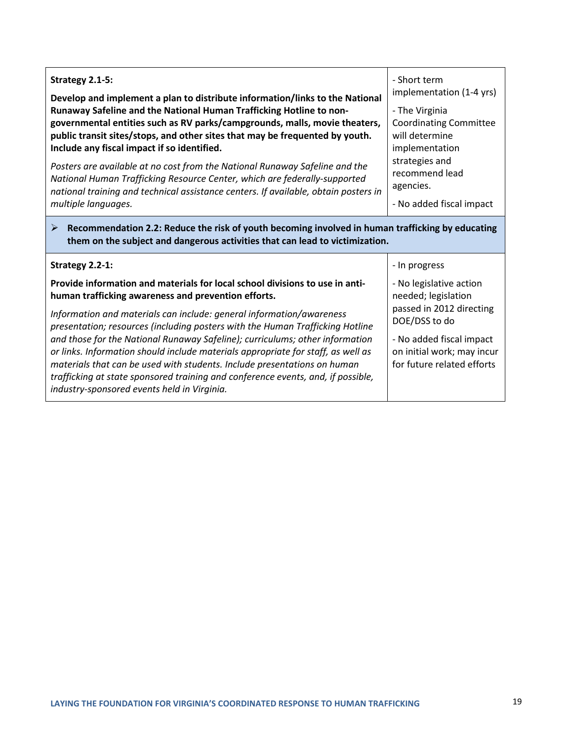| Strategy 2.1-5:<br>Develop and implement a plan to distribute information/links to the National<br>Runaway Safeline and the National Human Trafficking Hotline to non-<br>governmental entities such as RV parks/campgrounds, malls, movie theaters,<br>public transit sites/stops, and other sites that may be frequented by youth.<br>Include any fiscal impact if so identified.<br>Posters are available at no cost from the National Runaway Safeline and the<br>National Human Trafficking Resource Center, which are federally-supported<br>national training and technical assistance centers. If available, obtain posters in<br>multiple languages.<br>Recommendation 2.2: Reduce the risk of youth becoming involved in human trafficking by educating<br>➤ | - Short term<br>implementation (1-4 yrs)<br>- The Virginia<br><b>Coordinating Committee</b><br>will determine<br>implementation<br>strategies and<br>recommend lead<br>agencies.<br>- No added fiscal impact |
|------------------------------------------------------------------------------------------------------------------------------------------------------------------------------------------------------------------------------------------------------------------------------------------------------------------------------------------------------------------------------------------------------------------------------------------------------------------------------------------------------------------------------------------------------------------------------------------------------------------------------------------------------------------------------------------------------------------------------------------------------------------------|--------------------------------------------------------------------------------------------------------------------------------------------------------------------------------------------------------------|
| them on the subject and dangerous activities that can lead to victimization.<br>Strategy 2.2-1:                                                                                                                                                                                                                                                                                                                                                                                                                                                                                                                                                                                                                                                                        | - In progress                                                                                                                                                                                                |
| Provide information and materials for local school divisions to use in anti-<br>human trafficking awareness and prevention efforts.<br>Information and materials can include: general information/awareness<br>presentation; resources (including posters with the Human Trafficking Hotline<br>and those for the National Runaway Safeline); curriculums; other information<br>or links. Information should include materials appropriate for staff, as well as<br>materials that can be used with students. Include presentations on human<br>trafficking at state sponsored training and conference events, and, if possible,<br>industry-sponsored events held in Virginia.                                                                                        | - No legislative action<br>needed; legislation<br>passed in 2012 directing<br>DOE/DSS to do<br>- No added fiscal impact<br>on initial work; may incur<br>for future related efforts                          |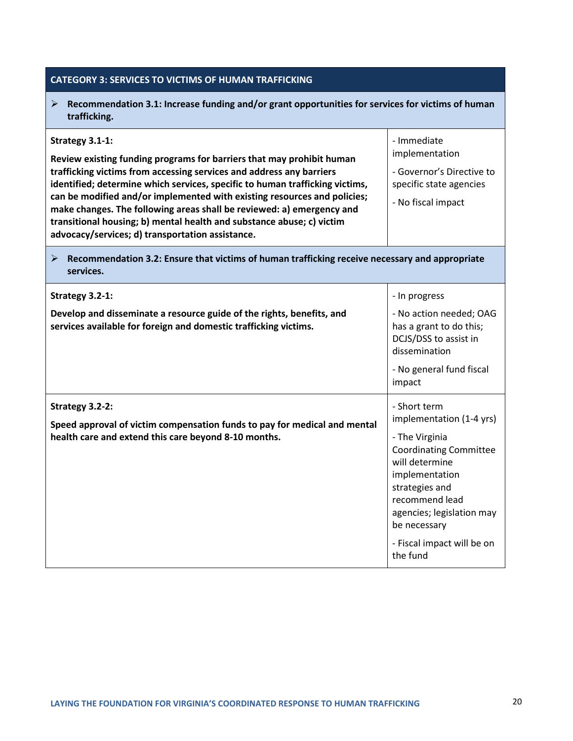| <b>CATEGORY 3: SERVICES TO VICTIMS OF HUMAN TRAFFICKING</b>                                                                                                                                                                                                                                                                                                                                                                                                                                                                        |                                                                                                                                                                                                                                                            |
|------------------------------------------------------------------------------------------------------------------------------------------------------------------------------------------------------------------------------------------------------------------------------------------------------------------------------------------------------------------------------------------------------------------------------------------------------------------------------------------------------------------------------------|------------------------------------------------------------------------------------------------------------------------------------------------------------------------------------------------------------------------------------------------------------|
| Recommendation 3.1: Increase funding and/or grant opportunities for services for victims of human<br>➤<br>trafficking.                                                                                                                                                                                                                                                                                                                                                                                                             |                                                                                                                                                                                                                                                            |
| Strategy 3.1-1:<br>Review existing funding programs for barriers that may prohibit human<br>trafficking victims from accessing services and address any barriers<br>identified; determine which services, specific to human trafficking victims,<br>can be modified and/or implemented with existing resources and policies;<br>make changes. The following areas shall be reviewed: a) emergency and<br>transitional housing; b) mental health and substance abuse; c) victim<br>advocacy/services; d) transportation assistance. | - Immediate<br>implementation<br>- Governor's Directive to<br>specific state agencies<br>- No fiscal impact                                                                                                                                                |
| Recommendation 3.2: Ensure that victims of human trafficking receive necessary and appropriate<br>≻<br>services.                                                                                                                                                                                                                                                                                                                                                                                                                   |                                                                                                                                                                                                                                                            |
| Strategy 3.2-1:<br>Develop and disseminate a resource guide of the rights, benefits, and<br>services available for foreign and domestic trafficking victims.                                                                                                                                                                                                                                                                                                                                                                       | - In progress<br>- No action needed; OAG<br>has a grant to do this;<br>DCJS/DSS to assist in<br>dissemination<br>- No general fund fiscal<br>impact                                                                                                        |
| Strategy 3.2-2:<br>Speed approval of victim compensation funds to pay for medical and mental<br>health care and extend this care beyond 8-10 months.                                                                                                                                                                                                                                                                                                                                                                               | - Short term<br>implementation (1-4 yrs)<br>- The Virginia<br><b>Coordinating Committee</b><br>will determine<br>implementation<br>strategies and<br>recommend lead<br>agencies; legislation may<br>be necessary<br>- Fiscal impact will be on<br>the fund |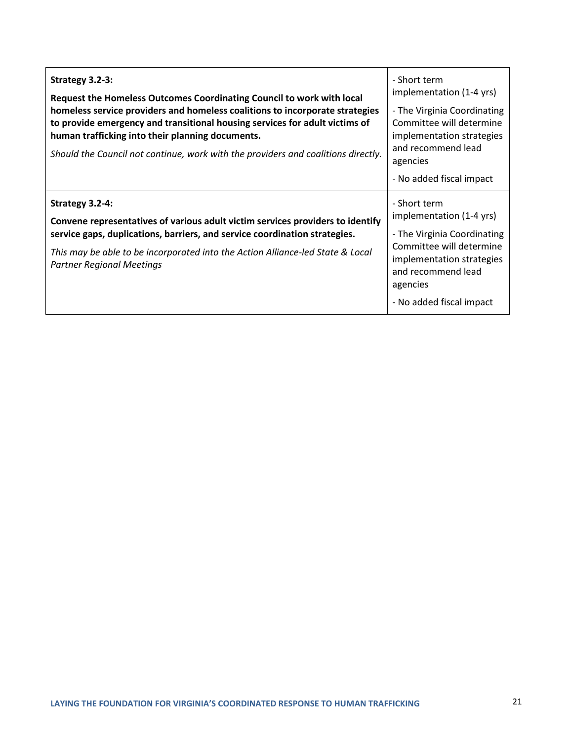| Strategy 3.2-3:<br>Request the Homeless Outcomes Coordinating Council to work with local<br>homeless service providers and homeless coalitions to incorporate strategies<br>to provide emergency and transitional housing services for adult victims of<br>human trafficking into their planning documents.<br>Should the Council not continue, work with the providers and coalitions directly. | - Short term<br>implementation (1-4 yrs)<br>- The Virginia Coordinating<br>Committee will determine<br>implementation strategies<br>and recommend lead<br>agencies<br>- No added fiscal impact |
|--------------------------------------------------------------------------------------------------------------------------------------------------------------------------------------------------------------------------------------------------------------------------------------------------------------------------------------------------------------------------------------------------|------------------------------------------------------------------------------------------------------------------------------------------------------------------------------------------------|
| Strategy 3.2-4:<br>Convene representatives of various adult victim services providers to identify<br>service gaps, duplications, barriers, and service coordination strategies.<br>This may be able to be incorporated into the Action Alliance-led State & Local<br><b>Partner Regional Meetings</b>                                                                                            | - Short term<br>implementation (1-4 yrs)<br>- The Virginia Coordinating<br>Committee will determine<br>implementation strategies<br>and recommend lead<br>agencies<br>- No added fiscal impact |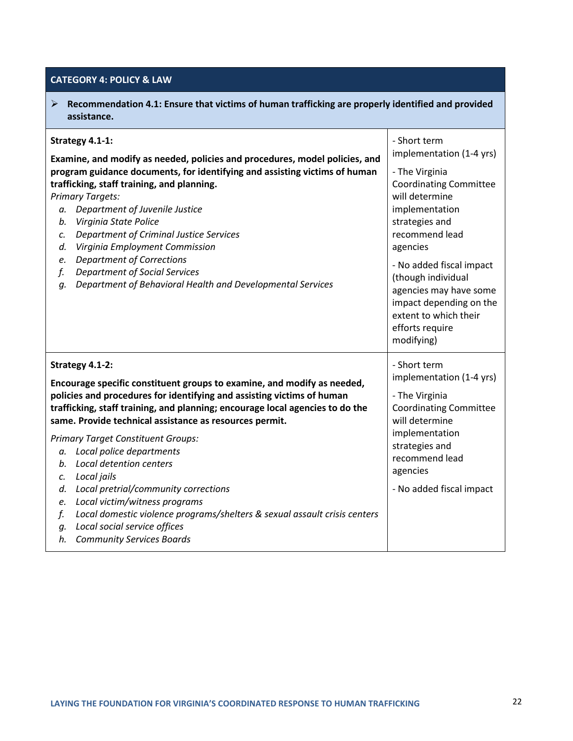### **CATEGORY 4: POLICY & LAW**

| Recommendation 4.1: Ensure that victims of human trafficking are properly identified and provided<br>➤<br>assistance.                                                                                                                                                                                                                                                                                                                                                                                                                                                                                                                                                                                      |                                                                                                                                                                                                                                                                                                                                                  |  |
|------------------------------------------------------------------------------------------------------------------------------------------------------------------------------------------------------------------------------------------------------------------------------------------------------------------------------------------------------------------------------------------------------------------------------------------------------------------------------------------------------------------------------------------------------------------------------------------------------------------------------------------------------------------------------------------------------------|--------------------------------------------------------------------------------------------------------------------------------------------------------------------------------------------------------------------------------------------------------------------------------------------------------------------------------------------------|--|
| Strategy 4.1-1:<br>Examine, and modify as needed, policies and procedures, model policies, and<br>program guidance documents, for identifying and assisting victims of human<br>trafficking, staff training, and planning.<br><b>Primary Targets:</b><br>Department of Juvenile Justice<br>а.<br>Virginia State Police<br>b.<br><b>Department of Criminal Justice Services</b><br>c.<br>Virginia Employment Commission<br>d.<br><b>Department of Corrections</b><br>e.<br><b>Department of Social Services</b><br>f.<br>Department of Behavioral Health and Developmental Services<br>q.                                                                                                                   | - Short term<br>implementation (1-4 yrs)<br>- The Virginia<br><b>Coordinating Committee</b><br>will determine<br>implementation<br>strategies and<br>recommend lead<br>agencies<br>- No added fiscal impact<br>(though individual<br>agencies may have some<br>impact depending on the<br>extent to which their<br>efforts require<br>modifying) |  |
| Strategy 4.1-2:<br>Encourage specific constituent groups to examine, and modify as needed,<br>policies and procedures for identifying and assisting victims of human<br>trafficking, staff training, and planning; encourage local agencies to do the<br>same. Provide technical assistance as resources permit.<br><b>Primary Target Constituent Groups:</b><br>a. Local police departments<br>Local detention centers<br>b.<br>Local jails<br>c.<br>Local pretrial/community corrections<br>d.<br>Local victim/witness programs<br>e.<br>Local domestic violence programs/shelters & sexual assault crisis centers<br>f.<br>Local social service offices<br>g.<br><b>Community Services Boards</b><br>h. | - Short term<br>implementation (1-4 yrs)<br>- The Virginia<br><b>Coordinating Committee</b><br>will determine<br>implementation<br>strategies and<br>recommend lead<br>agencies<br>- No added fiscal impact                                                                                                                                      |  |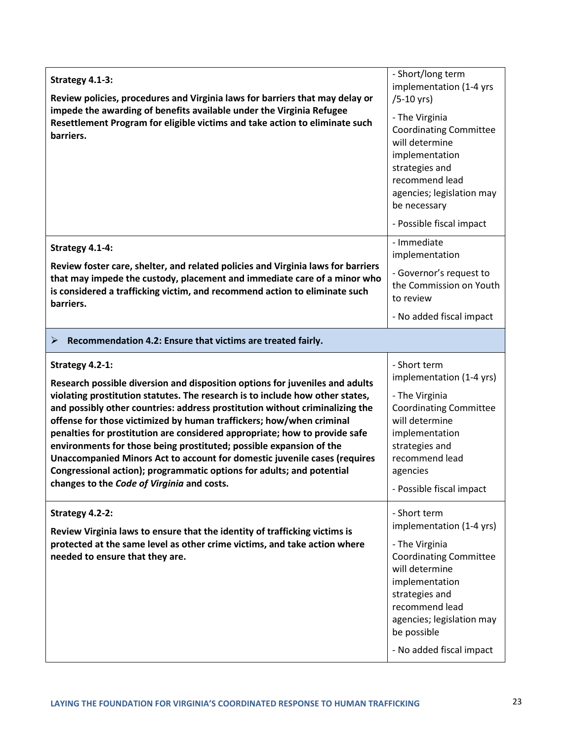| Strategy 4.1-3:<br>Review policies, procedures and Virginia laws for barriers that may delay or                                                                                                                                                                                                                                                                                                                                                                                                                                                                                                                                                                                                   | - Short/long term<br>implementation (1-4 yrs<br>$/5-10$ yrs)                                                                                                                                                                                |  |
|---------------------------------------------------------------------------------------------------------------------------------------------------------------------------------------------------------------------------------------------------------------------------------------------------------------------------------------------------------------------------------------------------------------------------------------------------------------------------------------------------------------------------------------------------------------------------------------------------------------------------------------------------------------------------------------------------|---------------------------------------------------------------------------------------------------------------------------------------------------------------------------------------------------------------------------------------------|--|
| impede the awarding of benefits available under the Virginia Refugee<br>Resettlement Program for eligible victims and take action to eliminate such<br>barriers.                                                                                                                                                                                                                                                                                                                                                                                                                                                                                                                                  | - The Virginia<br><b>Coordinating Committee</b><br>will determine<br>implementation<br>strategies and<br>recommend lead<br>agencies; legislation may<br>be necessary<br>- Possible fiscal impact                                            |  |
| Strategy 4.1-4:                                                                                                                                                                                                                                                                                                                                                                                                                                                                                                                                                                                                                                                                                   | - Immediate<br>implementation                                                                                                                                                                                                               |  |
| Review foster care, shelter, and related policies and Virginia laws for barriers<br>that may impede the custody, placement and immediate care of a minor who<br>is considered a trafficking victim, and recommend action to eliminate such<br>barriers.                                                                                                                                                                                                                                                                                                                                                                                                                                           | - Governor's request to<br>the Commission on Youth<br>to review                                                                                                                                                                             |  |
|                                                                                                                                                                                                                                                                                                                                                                                                                                                                                                                                                                                                                                                                                                   | - No added fiscal impact                                                                                                                                                                                                                    |  |
| Recommendation 4.2: Ensure that victims are treated fairly.<br>➤                                                                                                                                                                                                                                                                                                                                                                                                                                                                                                                                                                                                                                  |                                                                                                                                                                                                                                             |  |
| Strategy 4.2-1:<br>Research possible diversion and disposition options for juveniles and adults<br>violating prostitution statutes. The research is to include how other states,<br>and possibly other countries: address prostitution without criminalizing the<br>offense for those victimized by human traffickers; how/when criminal<br>penalties for prostitution are considered appropriate; how to provide safe<br>environments for those being prostituted; possible expansion of the<br>Unaccompanied Minors Act to account for domestic juvenile cases (requires<br>Congressional action); programmatic options for adults; and potential<br>changes to the Code of Virginia and costs. | - Short term<br>implementation (1-4 yrs)<br>- The Virginia<br><b>Coordinating Committee</b><br>will determine<br>implementation<br>strategies and<br>recommend lead<br>agencies<br>- Possible fiscal impact                                 |  |
| Strategy 4.2-2:<br>Review Virginia laws to ensure that the identity of trafficking victims is<br>protected at the same level as other crime victims, and take action where<br>needed to ensure that they are.                                                                                                                                                                                                                                                                                                                                                                                                                                                                                     | - Short term<br>implementation (1-4 yrs)<br>- The Virginia<br><b>Coordinating Committee</b><br>will determine<br>implementation<br>strategies and<br>recommend lead<br>agencies; legislation may<br>be possible<br>- No added fiscal impact |  |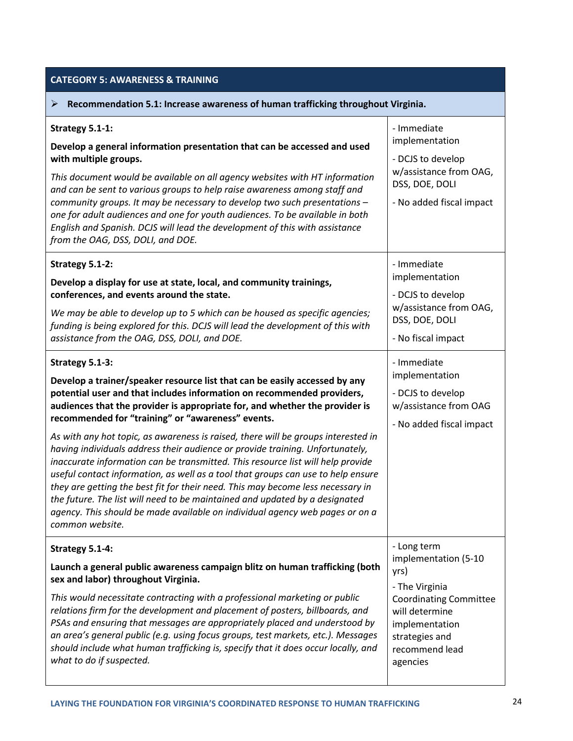#### **CATEGORY 5: AWARENESS & TRAINING Recommendation 5.1: Increase awareness of human trafficking throughout Virginia. Strategy 5.1-1: Develop a general information presentation that can be accessed and used with multiple groups.** *This document would be available on all agency websites with HT information and can be sent to various groups to help raise awareness among staff and community groups. It may be necessary to develop two such presentations – one for adult audiences and one for youth audiences. To be available in both English and Spanish. DCJS will lead the development of this with assistance from the OAG, DSS, DOLI, and DOE.* - Immediate implementation - DCJS to develop w/assistance from OAG, DSS, DOE, DOLI - No added fiscal impact **Strategy 5.1-2: Develop a display for use at state, local, and community trainings, conferences, and events around the state.** *We may be able to develop up to 5 which can be housed as specific agencies; funding is being explored for this. DCJS will lead the development of this with assistance from the OAG, DSS, DOLI, and DOE.* - Immediate implementation - DCJS to develop w/assistance from OAG, DSS, DOE, DOLI - No fiscal impact **Strategy 5.1-3: Develop a trainer/speaker resource list that can be easily accessed by any potential user and that includes information on recommended providers, audiences that the provider is appropriate for, and whether the provider is recommended for "training" or "awareness" events.**  *As with any hot topic, as awareness is raised, there will be groups interested in having individuals address their audience or provide training. Unfortunately, inaccurate information can be transmitted. This resource list will help provide useful contact information, as well as a tool that groups can use to help ensure they are getting the best fit for their need. This may become less necessary in the future. The list will need to be maintained and updated by a designated agency. This should be made available on individual agency web pages or on a common website.*  - Immediate implementation - DCJS to develop w/assistance from OAG - No added fiscal impact **Strategy 5.1-4: Launch a general public awareness campaign blitz on human trafficking (both sex and labor) throughout Virginia.** *This would necessitate contracting with a professional marketing or public relations firm for the development and placement of posters, billboards, and PSAs and ensuring that messages are appropriately placed and understood by an area's general public (e.g. using focus groups, test markets, etc.). Messages should include what human trafficking is, specify that it does occur locally, and what to do if suspected.* - Long term implementation (5-10 yrs) - The Virginia Coordinating Committee will determine implementation strategies and recommend lead agencies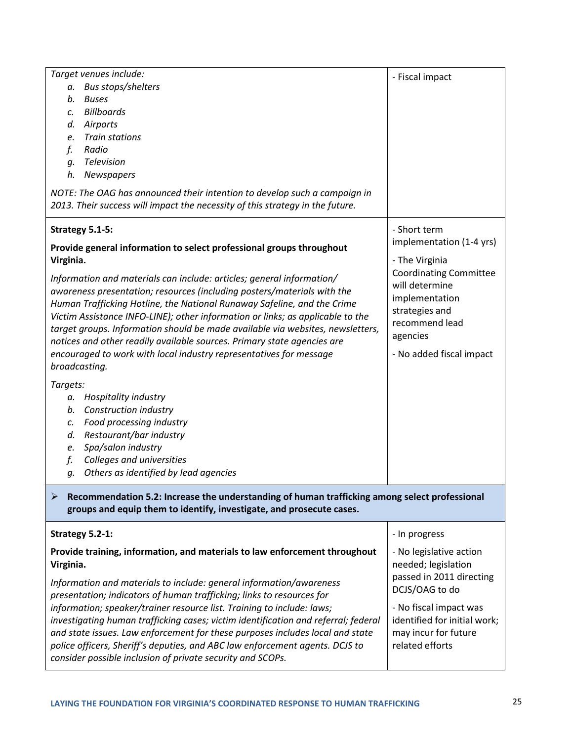| Target venues include:<br>a. Bus stops/shelters<br><b>Buses</b><br>b.<br><b>Billboards</b><br>c.<br>Airports<br>d.<br><b>Train stations</b><br>e.<br>Radio<br>f.<br>Television<br>q.<br>h.<br>Newspapers<br>NOTE: The OAG has announced their intention to develop such a campaign in<br>2013. Their success will impact the necessity of this strategy in the future.                                                                                                                                                                                                                                                                                                                                                                                                                                                                                                               | - Fiscal impact                                                                                                                                                                                             |  |
|--------------------------------------------------------------------------------------------------------------------------------------------------------------------------------------------------------------------------------------------------------------------------------------------------------------------------------------------------------------------------------------------------------------------------------------------------------------------------------------------------------------------------------------------------------------------------------------------------------------------------------------------------------------------------------------------------------------------------------------------------------------------------------------------------------------------------------------------------------------------------------------|-------------------------------------------------------------------------------------------------------------------------------------------------------------------------------------------------------------|--|
| Strategy 5.1-5:<br>Provide general information to select professional groups throughout<br>Virginia.<br>Information and materials can include: articles; general information/<br>awareness presentation; resources (including posters/materials with the<br>Human Trafficking Hotline, the National Runaway Safeline, and the Crime<br>Victim Assistance INFO-LINE); other information or links; as applicable to the<br>target groups. Information should be made available via websites, newsletters,<br>notices and other readily available sources. Primary state agencies are<br>encouraged to work with local industry representatives for message<br>broadcasting.<br>Targets:<br>Hospitality industry<br>а.<br>Construction industry<br>b.<br>Food processing industry<br>c.<br>Restaurant/bar industry<br>d.<br>Spa/salon industry<br>e.<br>Colleges and universities<br>f. | - Short term<br>implementation (1-4 yrs)<br>- The Virginia<br><b>Coordinating Committee</b><br>will determine<br>implementation<br>strategies and<br>recommend lead<br>agencies<br>- No added fiscal impact |  |
| Others as identified by lead agencies<br>g.<br>Recommendation 5.2: Increase the understanding of human trafficking among select professional<br>➤<br>groups and equip them to identify, investigate, and prosecute cases.                                                                                                                                                                                                                                                                                                                                                                                                                                                                                                                                                                                                                                                            |                                                                                                                                                                                                             |  |
| Strategy 5.2-1:                                                                                                                                                                                                                                                                                                                                                                                                                                                                                                                                                                                                                                                                                                                                                                                                                                                                      | - In progress                                                                                                                                                                                               |  |
| Provide training, information, and materials to law enforcement throughout<br>Virginia.<br>Information and materials to include: general information/awareness<br>presentation; indicators of human trafficking; links to resources for<br>information; speaker/trainer resource list. Training to include: laws;<br>investigating human trafficking cases; victim identification and referral; federal<br>and state issues. Law enforcement for these purposes includes local and state<br>police officers, Sheriff's deputies, and ABC law enforcement agents. DCJS to<br>consider possible inclusion of private security and SCOPs.                                                                                                                                                                                                                                               | - No legislative action<br>needed; legislation<br>passed in 2011 directing<br>DCJS/OAG to do<br>- No fiscal impact was<br>identified for initial work;<br>may incur for future<br>related efforts           |  |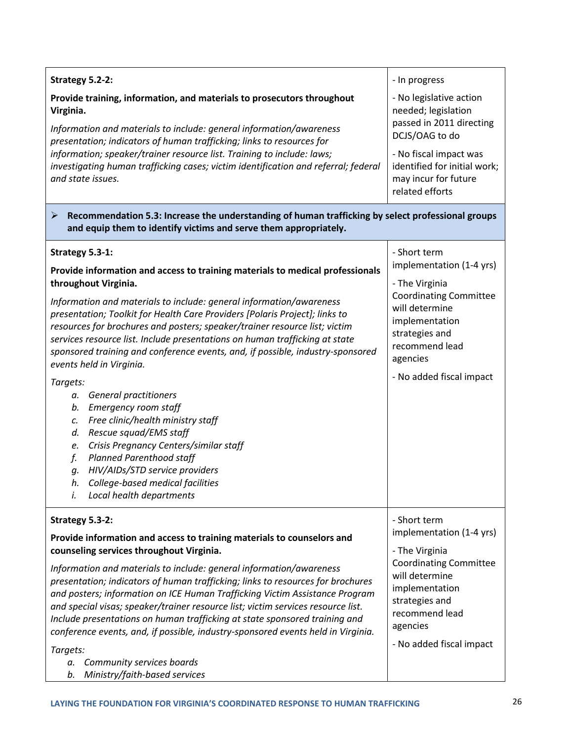| Strategy 5.2-2:<br>Provide training, information, and materials to prosecutors throughout<br>Virginia.<br>Information and materials to include: general information/awareness<br>presentation; indicators of human trafficking; links to resources for<br>information; speaker/trainer resource list. Training to include: laws;<br>investigating human trafficking cases; victim identification and referral; federal<br>and state issues.                                                                                                                                                                                                                                                                                                                                                                                                                                                                                                    | - In progress<br>- No legislative action<br>needed; legislation<br>passed in 2011 directing<br>DCJS/OAG to do<br>- No fiscal impact was<br>identified for initial work;<br>may incur for future<br>related efforts |
|------------------------------------------------------------------------------------------------------------------------------------------------------------------------------------------------------------------------------------------------------------------------------------------------------------------------------------------------------------------------------------------------------------------------------------------------------------------------------------------------------------------------------------------------------------------------------------------------------------------------------------------------------------------------------------------------------------------------------------------------------------------------------------------------------------------------------------------------------------------------------------------------------------------------------------------------|--------------------------------------------------------------------------------------------------------------------------------------------------------------------------------------------------------------------|
| Recommendation 5.3: Increase the understanding of human trafficking by select professional groups<br>➤<br>and equip them to identify victims and serve them appropriately.                                                                                                                                                                                                                                                                                                                                                                                                                                                                                                                                                                                                                                                                                                                                                                     |                                                                                                                                                                                                                    |
| Strategy 5.3-1:<br>Provide information and access to training materials to medical professionals<br>throughout Virginia.<br>Information and materials to include: general information/awareness<br>presentation; Toolkit for Health Care Providers [Polaris Project]; links to<br>resources for brochures and posters; speaker/trainer resource list; victim<br>services resource list. Include presentations on human trafficking at state<br>sponsored training and conference events, and, if possible, industry-sponsored<br>events held in Virginia.<br>Targets:<br><b>General practitioners</b><br>а.<br>Emergency room staff<br>b.<br>Free clinic/health ministry staff<br>$\mathcal{C}$ .<br>Rescue squad/EMS staff<br>d.<br>Crisis Pregnancy Centers/similar staff<br>e.<br><b>Planned Parenthood staff</b><br>f.<br>HIV/AIDs/STD service providers<br>g.<br>College-based medical facilities<br>h.<br>Local health departments<br>İ. | - Short term<br>implementation (1-4 yrs)<br>- The Virginia<br><b>Coordinating Committee</b><br>will determine<br>implementation<br>strategies and<br>recommend lead<br>agencies<br>- No added fiscal impact        |
| Strategy 5.3-2:<br>Provide information and access to training materials to counselors and<br>counseling services throughout Virginia.<br>Information and materials to include: general information/awareness<br>presentation; indicators of human trafficking; links to resources for brochures<br>and posters; information on ICE Human Trafficking Victim Assistance Program<br>and special visas; speaker/trainer resource list; victim services resource list.<br>Include presentations on human trafficking at state sponsored training and<br>conference events, and, if possible, industry-sponsored events held in Virginia.<br>Targets:<br>Community services boards<br>а.<br>Ministry/faith-based services<br>b.                                                                                                                                                                                                                     | - Short term<br>implementation (1-4 yrs)<br>- The Virginia<br><b>Coordinating Committee</b><br>will determine<br>implementation<br>strategies and<br>recommend lead<br>agencies<br>- No added fiscal impact        |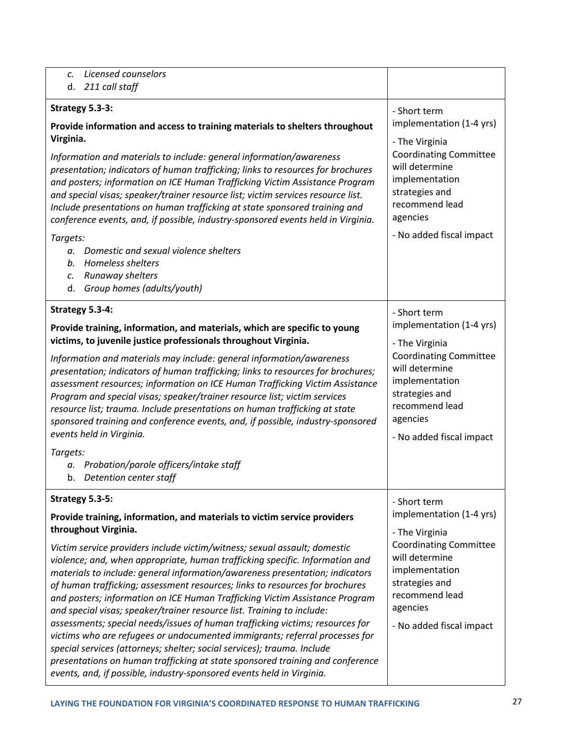| Licensed counselors<br>C.<br>211 call staff<br>d.                                                                                                                                                                                                                                                                                                                                                                                                                                                                                                                                                                                                                                                                                                                                                                                                                                                                                                                                                              |                                                                                                                                                                                                             |
|----------------------------------------------------------------------------------------------------------------------------------------------------------------------------------------------------------------------------------------------------------------------------------------------------------------------------------------------------------------------------------------------------------------------------------------------------------------------------------------------------------------------------------------------------------------------------------------------------------------------------------------------------------------------------------------------------------------------------------------------------------------------------------------------------------------------------------------------------------------------------------------------------------------------------------------------------------------------------------------------------------------|-------------------------------------------------------------------------------------------------------------------------------------------------------------------------------------------------------------|
| Strategy 5.3-3:<br>Provide information and access to training materials to shelters throughout<br>Virginia.<br>Information and materials to include: general information/awareness<br>presentation; indicators of human trafficking; links to resources for brochures<br>and posters; information on ICE Human Trafficking Victim Assistance Program<br>and special visas; speaker/trainer resource list; victim services resource list.<br>Include presentations on human trafficking at state sponsored training and<br>conference events, and, if possible, industry-sponsored events held in Virginia.<br>Targets:<br>Domestic and sexual violence shelters<br>α.<br>Homeless shelters<br>b.<br>Runaway shelters<br>c.<br>Group homes (adults/youth)<br>d.                                                                                                                                                                                                                                                 | - Short term<br>implementation (1-4 yrs)<br>- The Virginia<br><b>Coordinating Committee</b><br>will determine<br>implementation<br>strategies and<br>recommend lead<br>agencies<br>- No added fiscal impact |
| Strategy 5.3-4:<br>Provide training, information, and materials, which are specific to young<br>victims, to juvenile justice professionals throughout Virginia.<br>Information and materials may include: general information/awareness<br>presentation; indicators of human trafficking; links to resources for brochures;<br>assessment resources; information on ICE Human Trafficking Victim Assistance<br>Program and special visas; speaker/trainer resource list; victim services<br>resource list; trauma. Include presentations on human trafficking at state<br>sponsored training and conference events, and, if possible, industry-sponsored<br>events held in Virginia.<br>Targets:<br>Probation/parole officers/intake staff<br>а.<br>b. Detention center staff                                                                                                                                                                                                                                  | - Short term<br>implementation (1-4 yrs)<br>- The Virginia<br><b>Coordinating Committee</b><br>will determine<br>implementation<br>strategies and<br>recommend lead<br>agencies<br>- No added fiscal impact |
| Strategy 5.3-5:<br>Provide training, information, and materials to victim service providers<br>throughout Virginia.<br>Victim service providers include victim/witness; sexual assault; domestic<br>violence; and, when appropriate, human trafficking specific. Information and<br>materials to include: general information/awareness presentation; indicators<br>of human trafficking; assessment resources; links to resources for brochures<br>and posters; information on ICE Human Trafficking Victim Assistance Program<br>and special visas; speaker/trainer resource list. Training to include:<br>assessments; special needs/issues of human trafficking victims; resources for<br>victims who are refugees or undocumented immigrants; referral processes for<br>special services (attorneys; shelter; social services); trauma. Include<br>presentations on human trafficking at state sponsored training and conference<br>events, and, if possible, industry-sponsored events held in Virginia. | - Short term<br>implementation (1-4 yrs)<br>- The Virginia<br><b>Coordinating Committee</b><br>will determine<br>implementation<br>strategies and<br>recommend lead<br>agencies<br>- No added fiscal impact |